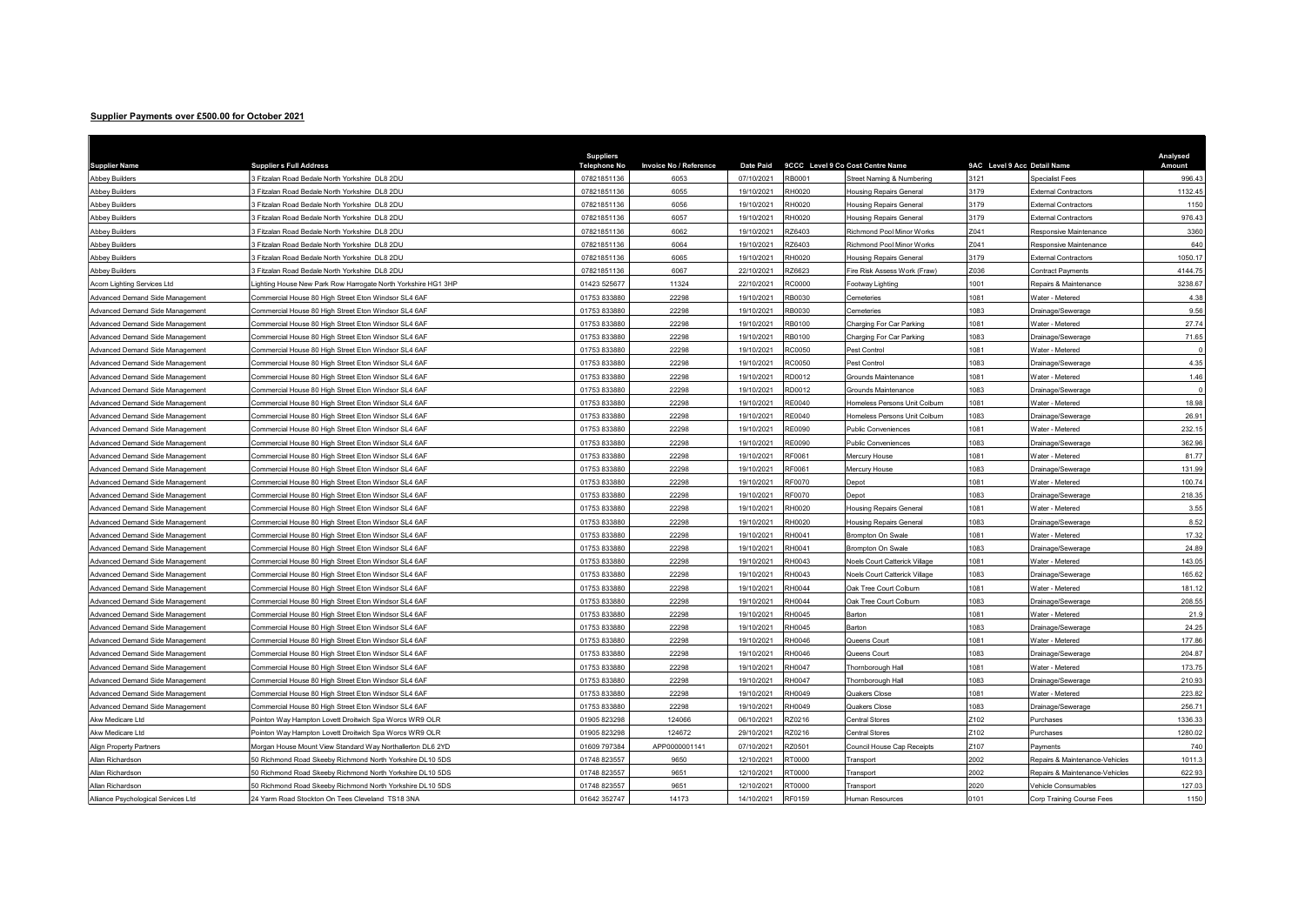## Supplier Payments over £500.00 for October 2021

| Supplier Payments over £500.00 for October 2021         |                                                                                                                         |                                         |                               |                          |               |                                         |                             |                                                  |                    |
|---------------------------------------------------------|-------------------------------------------------------------------------------------------------------------------------|-----------------------------------------|-------------------------------|--------------------------|---------------|-----------------------------------------|-----------------------------|--------------------------------------------------|--------------------|
|                                                         |                                                                                                                         |                                         |                               |                          |               |                                         |                             |                                                  |                    |
|                                                         |                                                                                                                         |                                         |                               |                          |               |                                         |                             |                                                  |                    |
| <b>Supplier Name</b>                                    | <b>Supplier s Full Address</b>                                                                                          | <b>Suppliers</b><br><b>Telephone No</b> | <b>Invoice No / Reference</b> | <b>Date Paid</b>         |               | 9CCC Level 9 Co Cost Centre Name        | 9AC Level 9 Acc Detail Name |                                                  | Analysed<br>Amount |
| <b>Abbey Builders</b>                                   | 3 Fitzalan Road Bedale North Yorkshire DL8 2DU                                                                          | 07821851136                             | 6053                          | 07/10/2021               | RB0001        | Street Naming & Numbering               | 3121                        | <b>Specialist Fees</b>                           | 996.43             |
| <b>Abbey Builders</b>                                   | B Fitzalan Road Bedale North Yorkshire DL8 2DU                                                                          | 07821851136                             | 6055                          | 19/10/2021               | RH0020        | Housing Repairs General                 | 3179                        | <b>xternal Contractors</b>                       | 1132.45            |
| <b>Abbey Builders</b>                                   | 3 Fitzalan Road Bedale North Yorkshire DL8 2DU                                                                          | 07821851136                             | 6056                          | 19/10/2021               | RH0020        | <b>Housing Repairs General</b>          | 3179                        | xternal Contractors                              | 1150               |
| <b>Abbey Builders</b>                                   | 3 Fitzalan Road Bedale North Yorkshire DL8 2DU                                                                          | 07821851136                             | 6057                          | 19/10/2021               | RH0020        | <b>Housing Repairs General</b>          | 3179                        | xternal Contractors                              | 976.43             |
| <b>Abbey Builders</b>                                   | 3 Fitzalan Road Bedale North Yorkshire DL8 2DU                                                                          | 07821851136                             | 6062                          | 19/10/2021               | RZ6403        | Richmond Pool Minor Works               | Z041                        | Responsive Maintenance                           | 3360               |
| <b>Abbey Builders</b>                                   | 3 Fitzalan Road Bedale North Yorkshire DL8 2DU                                                                          | 07821851136                             | 6064                          | 19/10/2021               | RZ6403        | Richmond Pool Minor Works               | Z041                        | Responsive Maintenance                           | 640                |
| Abbey Builders                                          | 3 Fitzalan Road Bedale North Yorkshire DL8 2DU                                                                          | 07821851136                             | 6065                          | 19/10/2021               | RH0020        | <b>Housing Repairs General</b>          | 3179                        | <b>External Contractors</b>                      | 1050.17            |
| <b>Abbey Builders</b>                                   | 3 Fitzalan Road Bedale North Yorkshire DL8 2DU                                                                          | 07821851136                             | 6067                          | 22/10/2021               | RZ6623        | Fire Risk Assess Work (Fraw)            | Z036                        | Contract Payments                                | 4144.75            |
| Acorn Lighting Services Ltd                             | Lighting House New Park Row Harrogate North Yorkshire HG1 3HP                                                           | 01423 525677                            | 11324                         | 22/10/2021               | RC0000        | Footway Lighting                        | 001                         | Repairs & Maintenance                            | 3238.67            |
| Advanced Demand Side Management                         | Commercial House 80 High Street Eton Windsor SL4 6AF                                                                    | 01753 83388                             | 22298                         | 19/10/2021               | RB0030        | <b>Cemeteries</b>                       | 081                         | Vater - Metered                                  | 4.38               |
| Advanced Demand Side Management                         | Commercial House 80 High Street Eton Windsor SL4 6AF                                                                    | 01753 833880                            | 22298                         | 19/10/2021               | RB0030        | Cemeteries                              | 1083                        | Drainage/Sewerage                                | 9.56               |
| Advanced Demand Side Management                         | Commercial House 80 High Street Eton Windsor SL4 6AF                                                                    | 01753 833880                            | 22298                         | 19/10/2021               | RB0100        | Charging For Car Parking                | 1081                        | Nater - Metered                                  | 27.74              |
| Advanced Demand Side Management                         | Commercial House 80 High Street Eton Windsor SL4 6AF                                                                    | 01753 833880                            | 22298                         | 19/10/2021               | RB0100        | Charging For Car Parking                | 1083                        | Drainage/Sewerage                                | 71.65              |
| Advanced Demand Side Management                         | Commercial House 80 High Street Eton Windsor SL4 6AF                                                                    | 01753 833880                            | 22298                         | 19/10/2021               | RC0050        | Pest Control                            | 1081                        | <b>Nater - Metered</b>                           |                    |
| Advanced Demand Side Management                         | Commercial House 80 High Street Eton Windsor SL4 6AF                                                                    | 01753 833880                            | 22298                         | 19/10/2021               | RC0050        | Pest Control                            | 083                         | Drainage/Sewerage                                | 4.35               |
| Advanced Demand Side Management                         | Commercial House 80 High Street Eton Windsor SL4 6AF                                                                    | 01753 833880                            | 22298                         | 19/10/2021               | RD0012        | Grounds Maintenance                     | 081                         | Nater - Metered                                  | 1.46               |
| Advanced Demand Side Management                         | Commercial House 80 High Street Eton Windsor SL4 6AF                                                                    | 01753 83388                             | 22298                         | 19/10/2021               | RD0012        | Grounds Maintenance                     | 083                         | Drainage/Sewerage                                |                    |
| Advanced Demand Side Management                         | Commercial House 80 High Street Eton Windsor SL4 6AF                                                                    | 01753 833880                            | 22298                         | 19/10/2021               | RE0040        | Homeless Persons Unit Colburn           | 1081                        | <b>Nater - Metered</b>                           | 18.98              |
| Advanced Demand Side Management                         | Commercial House 80 High Street Eton Windsor SL4 6AF                                                                    | 01753 833880                            | 22298                         | 19/10/2021               | RE0040        | Homeless Persons Unit Colburn           | 1083                        | Drainage/Sewerage                                | 26.91              |
| Advanced Demand Side Management                         | Commercial House 80 High Street Eton Windsor SL4 6AF                                                                    | 01753 833880                            | 22298                         | 19/10/2021               | RE0090        | Public Conveniences                     | 1081                        | <b>Nater - Metered</b>                           | 232.15             |
| Advanced Demand Side Management                         | Commercial House 80 High Street Eton Windsor SL4 6AF                                                                    | 01753 833880                            | 22298                         | 19/10/2021               | RE0090        | Public Conveniences                     | 1083                        | Drainage/Sewerage                                | 362.96             |
| Advanced Demand Side Management                         | Commercial House 80 High Street Eton Windsor SL4 6AF                                                                    | 01753 833880                            | 22298                         | 19/10/2021               | RF0061        | Mercury House                           | 1081                        | Nater - Metered                                  | 81.77              |
| Advanced Demand Side Management                         | Commercial House 80 High Street Eton Windsor SL4 6AF                                                                    | 01753 833880                            | 22298                         | 19/10/2021               | RF0061        | Mercury House                           | 083                         | Drainage/Sewerage                                | 131.99             |
| Advanced Demand Side Management                         | Commercial House 80 High Street Eton Windsor SL4 6AF                                                                    | 01753 83388                             | 22298                         | 19/10/2021               | RF0070        | Depot                                   | 081                         | Vater - Metered                                  | 100.74             |
| Advanced Demand Side Management                         | Commercial House 80 High Street Eton Windsor SL4 6AF                                                                    | 0175383388                              | 22298                         | 19/10/2021               | RF0070        | Depot                                   | 1083                        | Drainage/Sewerage                                | 218.35             |
| Advanced Demand Side Management                         | Commercial House 80 High Street Eton Windsor SL4 6AF                                                                    | 01753 833880                            | 22298                         | 19/10/2021               | RH0020        | <b>Housing Repairs General</b>          | 1081                        | <b>Nater - Metered</b>                           | 3.55               |
| Advanced Demand Side Management                         | Commercial House 80 High Street Eton Windsor SL4 6AF                                                                    | 01753 833880                            | 22298                         | 19/10/2021               | RH0020        | Housing Repairs General                 | 1083                        | Drainage/Sewerage                                | 8.52               |
| Advanced Demand Side Management                         | Commercial House 80 High Street Eton Windsor SL4 6AF                                                                    | 01753 833880                            | 22298                         | 19/10/2021               | RH0041        | <b>Brompton On Swale</b>                | 1081                        | <b>Nater - Metered</b>                           | 17.32              |
| Advanced Demand Side Managemen                          | Commercial House 80 High Street Eton Windsor SL4 6AF                                                                    | 01753 833880                            | 22298                         | 19/10/2021               | RH0041        | Brompton On Swale                       | 083                         | Drainage/Sewerage                                | 24.89              |
| Advanced Demand Side Management                         | Commercial House 80 High Street Eton Windsor SL4 6AF                                                                    | 01753 833880                            | 22298                         | 19/10/2021               | RH0043        | Noels Court Catterick Village           | 081                         | Vater - Metered                                  | 143.05             |
| Advanced Demand Side Management                         | Commercial House 80 High Street Eton Windsor SL4 6AF                                                                    | 01753 833880                            | 22298                         | 19/10/2021               | RH0043        | Noels Court Catterick Village           | 083                         | Drainage/Sewerage                                | 165.62             |
| Advanced Demand Side Management                         | Commercial House 80 High Street Eton Windsor SL4 6AF                                                                    | 01753 83388                             | 22298                         | 19/10/2021               | RH0044        | Oak Tree Court Colburn                  | 1081                        | <b>Nater - Metered</b>                           | 181.12             |
| Advanced Demand Side Management                         | Commercial House 80 High Street Eton Windsor SL4 6AF                                                                    | 01753 833880                            | 22298                         | 19/10/2021               | <b>RH0044</b> | Oak Tree Court Colburn                  | 1083                        | Drainage/Sewerage                                | 208.55             |
| Advanced Demand Side Management                         | Commercial House 80 High Street Eton Windsor SL4 6AF                                                                    | 01753 833880                            | 22298                         | 19/10/2021               | RH0045        | Barton                                  | 1081                        | <b>Nater - Metered</b>                           | 21.9               |
| Advanced Demand Side Management                         | Commercial House 80 High Street Eton Windsor SL4 6AF                                                                    | 01753 833880                            | 22298                         | 19/10/2021               | RH0045        | Barton                                  | 1083                        | Drainage/Sewerage                                | 24.25              |
| Advanced Demand Side Management                         | Commercial House 80 High Street Eton Windsor SL4 6AF                                                                    | 01753 83388                             | 22298                         | 19/10/2021               | RH0046        | Queens Court                            | 1081                        | <b>Nater - Metered</b>                           | 177.86             |
| Advanced Demand Side Management                         | Commercial House 80 High Street Eton Windsor SL4 6AF                                                                    | 01753 833880                            | 22298                         | 19/10/2021               | RH0046        | Queens Court                            | 083                         | Drainage/Sewerage                                | 204.87             |
| Advanced Demand Side Management                         | Commercial House 80 High Street Eton Windsor SL4 6AF                                                                    | 01753 833880                            | 22298                         | 19/10/2021               | <b>RH0047</b> | Thornborough Hall                       | 081                         | Vater - Metered                                  | 173.75             |
|                                                         |                                                                                                                         | 01753 83388                             | 22298                         | 19/10/2021               | <b>RH0047</b> |                                         | 1083                        |                                                  | 210.93             |
| Advanced Demand Side Management                         | Commercial House 80 High Street Eton Windsor SL4 6AF                                                                    | 01753 833880                            | 22298                         | 19/10/2021               | RH0049        | Thornborough Hall<br>Quakers Close      | 1081                        | Drainage/Sewerage<br>Water - Metered             | 223.82             |
| Advanced Demand Side Management                         | Commercial House 80 High Street Eton Windsor SL4 6AF                                                                    | 01753 833880                            |                               |                          | RH0049        |                                         | 1083                        |                                                  |                    |
| Advanced Demand Side Management                         | Commercial House 80 High Street Eton Windsor SL4 6AF                                                                    | 01905 823298                            | 22298<br>124066               | 19/10/2021<br>06/10/2021 | RZ0216        | <b>Quakers Close</b>                    | Z102                        | Drainage/Sewerage                                | 256.71<br>1336.33  |
| Akw Medicare Ltd<br>Akw Medicare Ltd                    | Pointon Way Hampton Lovett Droitwich Spa Worcs WR9 OLR<br>Pointon Way Hampton Lovett Droitwich Spa Worcs WR9 OLR        | 01905 823298                            | 124672                        | 29/10/2021               | RZ0216        | Central Stores<br>Central Stores        | Z102                        | Purchases<br>Purchases                           |                    |
|                                                         |                                                                                                                         | 01609 797384                            | APP0000001141                 | 07/10/2021               | RZ0501        |                                         | Z <sub>107</sub>            | Payments                                         | 1280.02<br>740     |
| <b>Align Property Partners</b><br>Allan Richardson      | Morgan House Mount View Standard Way Northallerton DL6 2YD<br>50 Richmond Road Skeeby Richmond North Yorkshire DL10 5DS | 01748 823557                            | 9650                          | 12/10/2021               | RT0000        | Council House Cap Receipts<br>Transport | 2002                        | Repairs & Maintenance-Vehicles                   | 1011.3             |
|                                                         | 50 Richmond Road Skeeby Richmond North Yorkshire DL10 5DS                                                               | 01748 823557                            |                               | 12/10/2021               | RT0000        |                                         | 2002                        | Repairs & Maintenance-Vehicles                   | 622.93             |
| Allan Richardson                                        |                                                                                                                         | 01748 823557                            | 9651<br>9651                  |                          | RT0000        | Transport                               | 2020                        |                                                  | 127.03             |
| Allan Richardson<br>Alliance Psychological Services Ltd | 50 Richmond Road Skeeby Richmond North Yorkshire DL10 5DS<br>24 Yarm Road Stockton On Tees Cleveland TS18 3NA           | 01642 352747                            | 14173                         | 12/10/2021<br>14/10/2021 | RF0159        | Transport<br>Human Resources            | 0101                        | /ehicle Consumables<br>Corp Training Course Fees | 1150               |
|                                                         |                                                                                                                         |                                         |                               |                          |               |                                         |                             |                                                  |                    |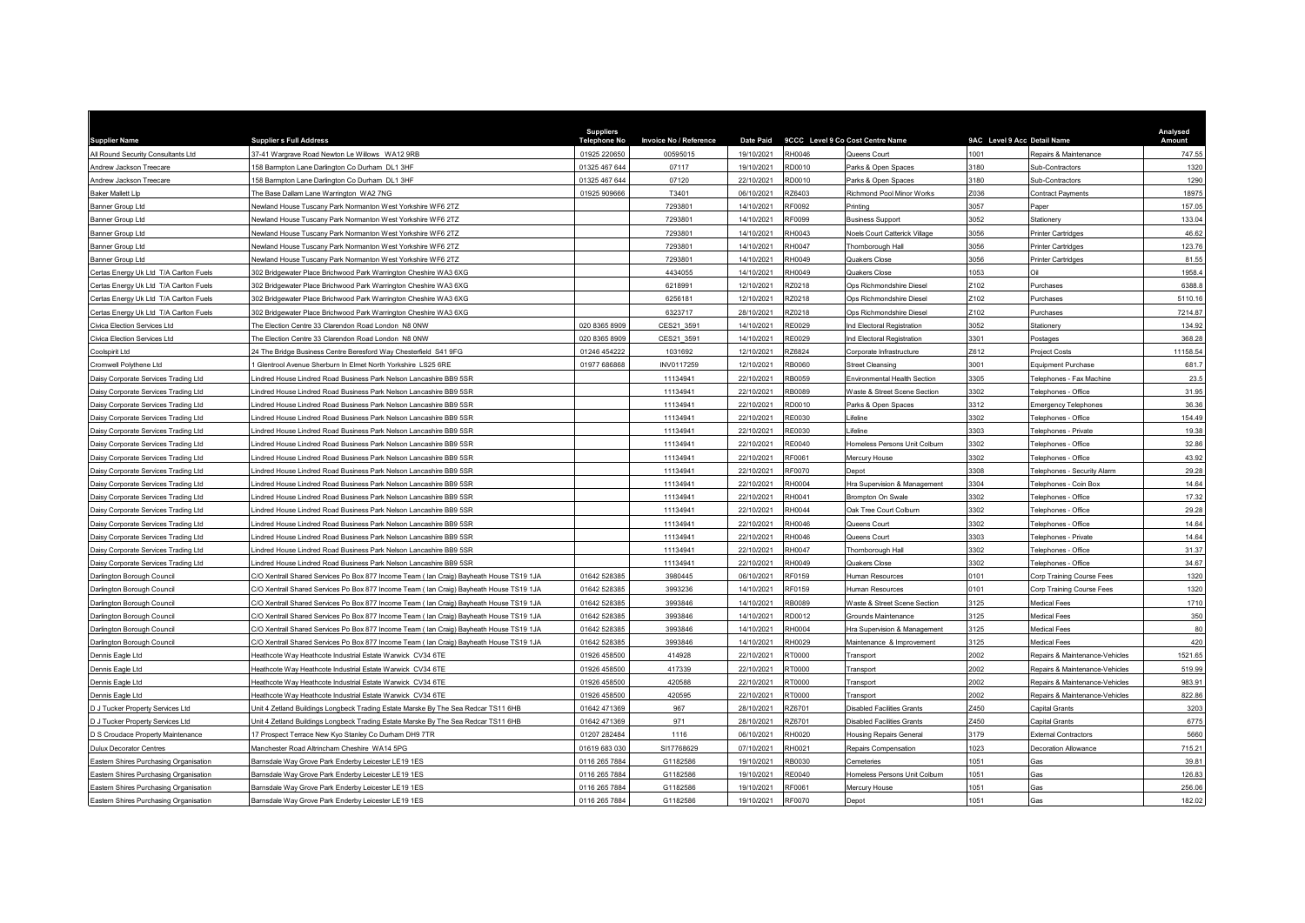| <b>Supplier Name</b>                   | <b>Suppliers Full Address</b>                                                            | <b>Suppliers</b><br><b>Telephone No</b> | <b>Invoice No / Reference</b> | <b>Date Paid</b> |               | 9CCC Level 9 Co Cost Centre Name | 9AC Level 9 Acc Detail Name |                                | Analysed<br>Amount |
|----------------------------------------|------------------------------------------------------------------------------------------|-----------------------------------------|-------------------------------|------------------|---------------|----------------------------------|-----------------------------|--------------------------------|--------------------|
| All Round Security Consultants Ltd     | 37-41 Wargrave Road Newton Le Willows WA12 9RB                                           | 01925 220650                            | 00595015                      | 19/10/2021       | <b>RH0046</b> | Queens Court                     | 1001                        | Repairs & Maintenance          | 747.55             |
| Andrew Jackson Treecare                | 58 Barmpton Lane Darlington Co Durham DL1 3HF                                            | 01325 467 644                           | 07117                         | 19/10/2021       | RD0010        | Parks & Open Spaces              | 3180                        | <b>Sub-Contractors</b>         | 1320               |
| Andrew Jackson Treecare                | 158 Barmpton Lane Darlington Co Durham DL1 3HF                                           | 01325 467 644                           | 07120                         | 22/10/2021       | RD0010        | Parks & Open Spaces              | 3180                        | Sub-Contractors                | 1290               |
| <b>Baker Mallett Llp</b>               | The Base Dallam Lane Warrington WA2 7NG                                                  | 01925 909666                            | T3401                         | 06/10/2021       | RZ6403        | Richmond Pool Minor Works        | 7036                        | Contract Payments              | 18975              |
| Banner Group Ltd                       | Newland House Tuscany Park Normanton West Yorkshire WF6 2TZ                              |                                         | 7293801                       | 14/10/2021       | RF0092        | Printing                         | 3057                        | Paner                          | 157.05             |
| Banner Group Ltd                       | Newland House Tuscany Park Normanton West Yorkshire WF6 2TZ                              |                                         | 7293801                       | 14/10/2021       | RF0099        | <b>Business Support</b>          | 3052                        | Stationerv                     | 133.04             |
| Banner Group Ltd                       | Newland House Tuscany Park Normanton West Yorkshire WF6 2TZ                              |                                         | 7293801                       | 14/10/2021       | RH0043        | Noels Court Catterick Village    | 3056                        | Printer Cartridges             | 46.62              |
| Banner Group Ltd                       | Newland House Tuscany Park Normanton West Yorkshire WF6 2TZ                              |                                         | 7293801                       | 14/10/2021       | RH0047        | Thornborough Hall                | 3056                        | Printer Cartridges             | 123.76             |
| Banner Group I td                      | Vewland House Tuscany Park Normanton West Yorkshire WF6 2TZ                              |                                         | 7293801                       | 14/10/2021       | RH0049        | Quakers Close                    | 3056                        | Printer Cartridges             | 81.55              |
| Certas Energy Uk Ltd T/A Carlton Fuels | 302 Bridgewater Place Brichwood Park Warrington Cheshire WA3 6XG                         |                                         | 4434055                       | 14/10/2021       | RH0049        | Quakers Close                    | 1053                        |                                | 1958.4             |
| Certas Energy Uk Ltd T/A Carlton Fuels | 302 Bridgewater Place Brichwood Park Warrington Cheshire WA3 6XG                         |                                         | 6218991                       | 12/10/2021       | RZ0218        | Ops Richmondshire Diese          | Z <sub>102</sub>            | <sup>2</sup> urchases          | 6388.8             |
| Certas Energy Uk Ltd T/A Carlton Fuels | 302 Bridgewater Place Brichwood Park Warrington Cheshire WA3 6XG                         |                                         | 6256181                       | 12/10/2021       | RZ0218        | Ops Richmondshire Diese          | 7102                        | <sup>2</sup> urchases          | 5110.16            |
| Certas Energy Uk Ltd T/A Carlton Fuels | 302 Bridgewater Place Brichwood Park Warrington Cheshire WA3 6XG                         |                                         | 6323717                       | 28/10/2021       | RZ0218        | Ops Richmondshire Diesel         | Z102                        | Purchases                      | 7214.87            |
| Civica Election Services Ltd           | The Election Centre 33 Clarendon Road London N8 0NW                                      | 020 8365 8909                           | CES21 3591                    | 14/10/2021       | RE0029        | Ind Electoral Registration       | 3052                        | Stationery                     | 134.92             |
| Civica Election Services Ltd           | The Election Centre 33 Clarendon Road London, N8 0NW                                     | 020 8365 8909                           | CES21 3591                    | 14/10/2021       | RE0029        | Ind Electoral Registration       | 3301                        | Postages                       | 368.28             |
| Coolspirit Ltd                         | 24 The Bridge Business Centre Beresford Way Chesterfield S41 9FG                         | 01246 454222                            | 1031692                       | 12/10/2021       | RZ6824        | Corporate Infrastructure         | Z612                        | Project Costs                  | 11158.54           |
| Cromwell Polythene Ltd                 | Glentrool Avenue Sherburn In Elmet North Yorkshire LS25 6RE                              | 01977 686868                            | INV0117259                    | 12/10/2021       | <b>RB0060</b> | <b>Street Cleansing</b>          | 3001                        | Equipment Purchase             | 681.7              |
| Daisy Corporate Services Trading Ltd   | indred House Lindred Road Business Park Nelson Lancashire BB9 5SR                        |                                         | 11134941                      | 22/10/2021       | RB0059        | Environmental Health Section     | 3305                        | Felephones - Fax Machine       | 23.5               |
| Daisy Corporate Services Trading Ltd   | indred House Lindred Road Business Park Nelson Lancashire BB9 5SR                        |                                         | 11134941                      | 22/10/2021       | RB0089        | Waste & Street Scene Section     | 3302                        | Telephones - Office            | 31.95              |
| Daisy Corporate Services Trading Ltd   | indred House Lindred Road Business Park Nelson Lancashire BB9 5SR                        |                                         | 11134941                      | 22/10/2021       | RD0010        | Parks & Open Spaces              | 3312                        | Emergency Telephones           | 36.36              |
| Daisy Corporate Services Trading Ltd   | indred House Lindred Road Business Park Nelson Lancashire BB9 5SR                        |                                         | 11134941                      | 22/10/2021       | RE0030        | .ifeline                         | 3302                        | Felephones - Office            | 154.49             |
| Daisy Corporate Services Trading Ltd   | indred House Lindred Road Business Park Nelson Lancashire BB9 5SR                        |                                         | 11134941                      | 22/10/2021       | RE0030        | .ifeline                         | 303                         | Telephones - Private           | 19.38              |
| Daisy Corporate Services Trading Ltd   | indred House Lindred Road Business Park Nelson Lancashire BB9 5SR                        |                                         | 11134941                      | 22/10/2021       | RE0040        | Homeless Persons Unit Colburn    | 302                         | Telephones - Office            | 32.86              |
| Daisy Corporate Services Trading Ltd   | indred House Lindred Road Business Park Nelson Lancashire BB9 5SR                        |                                         | 11134941                      | 22/10/2021       | RF0061        | Mercury House                    | 3302                        | Геlephones - Office            | 43.92              |
| Daisy Corporate Services Trading Ltd   | indred House Lindred Road Business Park Nelson Lancashire BB9 5SR                        |                                         | 11134941                      | 22/10/2021       | RF0070        | Dennt                            | 3308                        | Telephones - Security Alarm    | 29.28              |
| Daisy Corporate Services Trading Ltd   | indred House Lindred Road Business Park Nelson Lancashire BB9 5SR                        |                                         | 11134941                      | 22/10/2021       | RH0004        | Hra Supervision & Management     | 3304                        | Telephones - Coin Box          | 14.64              |
| Daisy Corporate Services Trading Ltd   | Lindred House Lindred Road Business Park Nelson Lancashire BB9 5SR                       |                                         | 11134941                      | 22/10/2021       | RH0041        | <b>Brompton On Swale</b>         | 3302                        | Telephones - Office            | 17.32              |
| Daisy Corporate Services Trading Ltd   | indred House Lindred Road Business Park Nelson Lancashire BB9 5SR                        |                                         | 11134941                      | 22/10/2021       | <b>RH0044</b> | Oak Tree Court Colburn           | 3302                        | Telephones - Office            | 29.28              |
| Daisy Corporate Services Trading Ltd   | indred House Lindred Road Business Park Nelson Lancashire BB9 5SR                        |                                         | 11134941                      | 22/10/2021       | RH0046        | Queens Court                     | 302                         | Telephones - Office            | 14.64              |
| Daisy Corporate Services Trading Ltd   | indred House Lindred Road Business Park Nelson Lancashire BB9 5SR                        |                                         | 11134941                      | 22/10/2021       | RH0046        | Queens Court                     | 3303                        | Felephones - Private           | 14.64              |
| Daisy Corporate Services Trading Ltd   | indred House Lindred Road Business Park Nelson Lancashire BB9 5SR                        |                                         | 11134941                      | 22/10/2021       | RH0047        | Thornborough Hall                | 3302                        | Telephones - Office            | 31.37              |
| Daisy Corporate Services Trading Ltd   | indred House Lindred Road Business Park Nelson Lancashire BB9 5SR                        |                                         | 11134941                      | 22/10/2021       | RH0049        | Quakers Close                    | 3302                        | Telephones - Office            | 34.67              |
| Darlington Borough Council             | C/O Xentrall Shared Services Po Box 877 Income Team ( lan Craig) Bayheath House TS19 1JA | 01642 528385                            | 3980445                       | 06/10/2021       | RF0159        | Human Resources                  | 0101                        | Corp Training Course Fees      | 1320               |
| Darlington Borough Council             | C/O Xentrall Shared Services Po Box 877 Income Team (Ian Craig) Bayheath House TS19 1JA  | 01642 528385                            | 3993236                       | 14/10/2021       | RF0159        | Human Resources                  | 0101                        | Corp Training Course Fees      | 1320               |
| Darlington Borough Council             | C/O Xentrall Shared Services Po Box 877 Income Team ( lan Craig) Bayheath House TS19 1JA | 01642 528385                            | 3993846                       | 14/10/2021       | RB0089        | Waste & Street Scene Section     | 125                         | Medical Fees                   | 1710               |
| Darlington Borough Council             | C/O Xentrall Shared Services Po Box 877 Income Team (Ian Craig) Bayheath House TS19 1JA  | 01642 528385                            | 3993846                       | 14/10/2021       | RD0012        | <b>Grounds Maintenance</b>       | 3125                        | Medical Fees                   | 350                |
| Darlington Borough Council             | C/O Xentrall Shared Services Po Box 877 Income Team (Ian Craig) Bayheath House TS19 1JA  | 01642 528385                            | 3993846                       | 14/10/2021       | <b>RH0004</b> | Hra Supervision & Management     | 125                         | Medical Fees                   | 80                 |
| Darlington Borough Council             | C/O Xentrall Shared Services Po Box 877 Income Team ( lan Craig) Bayheath House TS19 1JA | 01642 528385                            | 3993846                       | 14/10/2021       | RH0029        | Maintenance & Improvement        | 3125                        | Medical Fees                   | 420                |
| Dennis Eagle Ltd                       | Heathcote Way Heathcote Industrial Estate Warwick CV34 6TE                               | 01926 458500                            | 414928                        | 22/10/2021       | RT0000        | Transport                        | 2002                        | Repairs & Maintenance-Vehicles | 1521.65            |
| Dennis Eagle Ltd                       | leathcote Way Heathcote Industrial Estate Warwick CV34 6TE                               | 01926 458500                            | 417339                        | 22/10/2021       | RT0000        | Transport                        | 2002                        | Repairs & Maintenance-Vehicles | 519.99             |
| Dennis Eagle Ltd                       | Heathcote Way Heathcote Industrial Estate Warwick CV34 6TE                               | 01926 458500                            | 420588                        | 22/10/2021       | RT0000        | Transport                        | 2002                        | Repairs & Maintenance-Vehicles | 983.91             |
| Dennis Eagle Ltd                       | leathcote Way Heathcote Industrial Estate Warwick CV34 6TE                               | 01926 458500                            | 420595                        | 22/10/2021       | RT0000        | Transport                        | 2002                        | Repairs & Maintenance-Vehicles | 822.86             |
| D J Tucker Property Services Ltd       | Init 4 Zetland Buildings Longbeck Trading Estate Marske By The Sea Redcar TS11 6HB       | 01642 471369                            | 967                           | 28/10/2021       | RZ6701        | Disabled Facilities Grants       | Z450                        | Capital Grants                 | 3203               |
| D J Tucker Property Services Ltd       | Init 4 Zetland Buildings Longbeck Trading Estate Marske By The Sea Redcar TS11 6HB       | 01642 471369                            | 971                           | 28/10/2021       | RZ6701        | Disabled Facilities Grants       | Z450                        | apital Grants                  | 6775               |
| D S Croudace Property Maintenance      | 17 Prospect Terrace New Kyo Stanley Co Durham DH9 7TR                                    | 01207 282484                            | 1116                          | 06/10/2021       | RH0020        | Housing Repairs Genera           | 3179                        | <b>External Contractors</b>    | 5660               |
| <b>Dulux Decorator Centres</b>         | Manchester Road Altrincham Cheshire WA14 5PG                                             | 01619 683 030                           | SI17768629                    | 07/10/2021       | RH0021        | Repairs Compensation             | 1023                        | ecoration Allowance            | 715.21             |
| Eastern Shires Purchasing Organisation | Barnsdale Way Grove Park Enderby Leicester LE19 1ES                                      | 0116 265 7884                           | G1182586                      | 19/10/2021       | RB0030        | Cemeteries                       | 1051                        | àas                            | 39.81              |
| Eastern Shires Purchasing Organisation | Barnsdale Way Grove Park Enderby Leicester LE19 1ES                                      | 0116 265 7884                           | G1182586                      | 19/10/2021       | RE0040        | Iomeless Persons Unit Colburn    | 051                         | <b>Gas</b>                     | 126.83             |
| Eastern Shires Purchasing Organisation | Barnsdale Way Grove Park Enderby Leicester LE19 1ES                                      | 0116 265 788                            | G1182586                      | 19/10/2021       | RF0061        | Mercury House                    | 1051                        | Gas                            | 256.06             |
| Eastern Shires Purchasing Organisation | Barnsdale Way Grove Park Enderby Leicester LE19 1ES                                      | 0116 265 7884                           | G1182586                      | 19/10/2021       | RF0070        | Depot                            | 1051                        | Gas                            | 182.02             |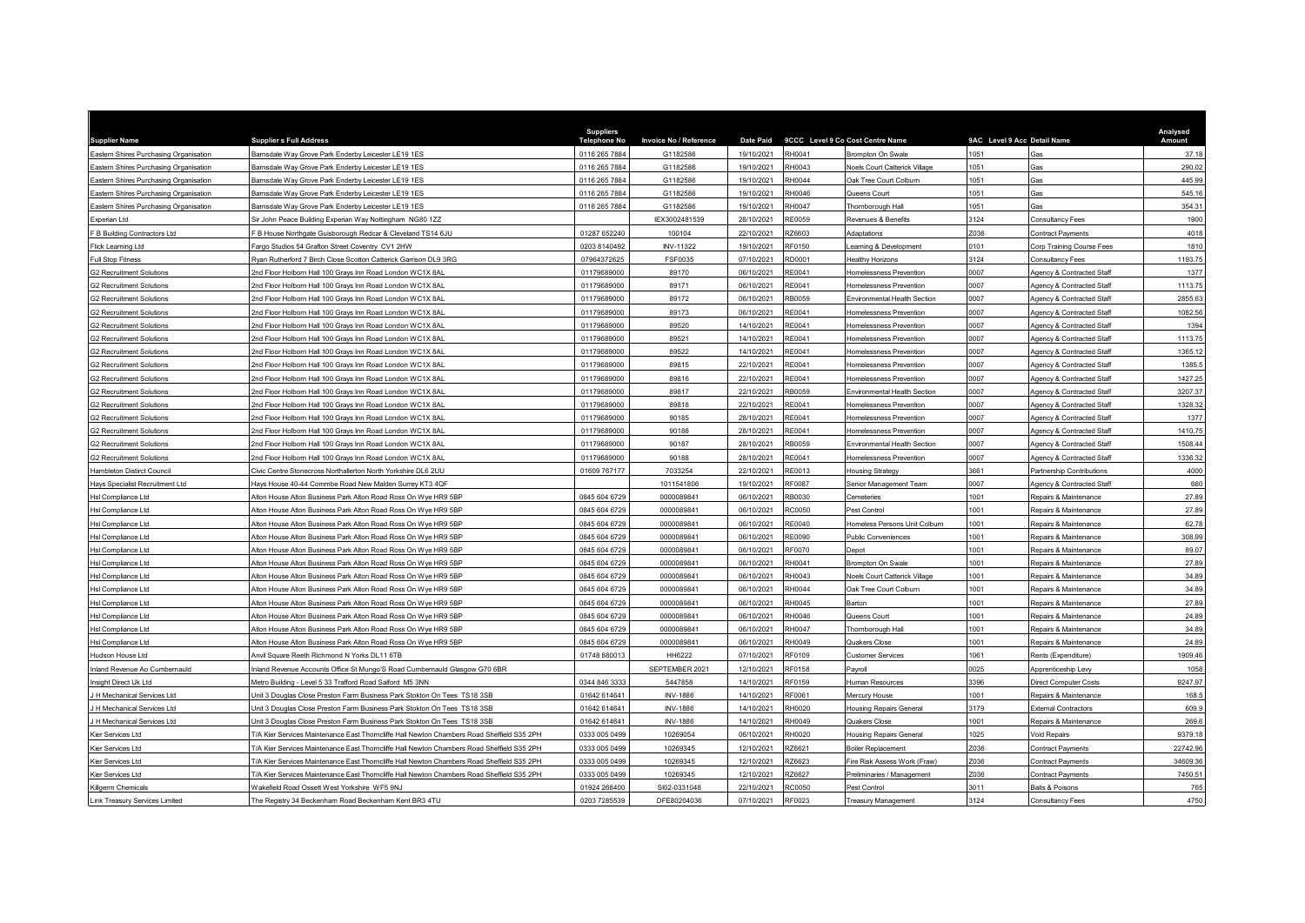| <b>Supplier Name</b>                   | <b>Suppliers Full Address</b>                                                              | <b>Suppliers</b><br><b>Telephone No</b> | <b>Invoice No / Reference</b> | <b>Date Paid</b> |               | 9CCC Level 9 Co Cost Centre Name     | 9AC Level 9 Acc Detail Name |                           | Analysed<br>Amount |
|----------------------------------------|--------------------------------------------------------------------------------------------|-----------------------------------------|-------------------------------|------------------|---------------|--------------------------------------|-----------------------------|---------------------------|--------------------|
| Eastern Shires Purchasing Organisation | Barnsdale Way Grove Park Enderby Leicester LE19 1ES                                        | 0116 265 7884                           | G1182586                      | 19/10/2021       | RH0041        | <b>Brompton On Swale</b>             | 1051                        |                           | 37.18              |
| Eastern Shires Purchasing Organisation | Barnsdale Way Grove Park Enderby Leicester LE19 1ES                                        | 0116 265 7884                           | G1182586                      | 19/10/2021       | RH0043        | <b>Voels Court Catterick Village</b> | 051                         | <b>Gas</b>                | 290.02             |
| Eastern Shires Purchasing Organisation | Barnsdale Way Grove Park Enderby Leicester LE19 1ES                                        | 0116 265 7884                           | G1182586                      | 19/10/2021       | RH0044        | Oak Tree Court Colburn               | 1051                        | <b>Gas</b>                | 445.99             |
| Eastern Shires Purchasing Organisation | Barnsdale Way Grove Park Enderby Leicester LE19 1ES                                        | 0116 265 7884                           | G1182586                      | 19/10/2021       | RH0046        | Queens Court                         | 1051                        | Gas                       | 545.16             |
| Eastern Shires Purchasing Organisation | Barnsdale Way Grove Park Enderby Leicester LE19 1ES                                        | 0116 265 7884                           | G1182586                      | 19/10/2021       | RH0047        | Thomborough Hall                     | 1051                        | Gas                       | 354.31             |
| Experian Ltd                           | Sir John Peace Building Experian Way Nottingham NG80 1ZZ                                   |                                         | IEX3002481539                 | 28/10/2021       | RE0059        | Revenues & Benefits                  | 3124                        | Consultancy Fees          | 1900               |
| F B Building Contractors Ltd           | F B House Northgate Guisborough Redcar & Cleveland TS14 6JU                                | 01287 652240                            | 100104                        | 22/10/2021       | RZ6603        | <b>Adaptations</b>                   | Z036                        | Contract Payments         | 4018               |
| Flick Learning Ltd                     | Fargo Studios 54 Grafton Street Coventry CV1 2HW                                           | 0203 8140492                            | <b>INV-11322</b>              | 19/10/2021       | RF0150        | earning & Development                | 0101                        | Corp Training Course Fees | 1810               |
| <b>Full Stop Fitness</b>               | Ryan Rutherford 7 Birch Close Scotton Catterick Garrison DL9 3RG                           | 07964372625                             | FSF0035                       | 07/10/2021       | RD0001        | lealthy Horizons                     | 3124                        | Consultancy Fees          | 1193.75            |
| <b>G2 Recruitment Solutions</b>        | 2nd Floor Holborn Hall 100 Grays Inn Road London WC1X 8AL                                  | 01179689000                             | 89170                         | 06/10/2021       | RE0041        | Iomelessness Prevention              | 0007                        | Agency & Contracted Staff | 1377               |
| <b>G2 Recruitment Solutions</b>        | 2nd Floor Holborn Hall 100 Grays Inn Road London WC1X 8AL                                  | 01179689000                             | 89171                         | 06/10/2021       | RE0041        | Homelessness Prevention              | 0007                        | Agency & Contracted Staff | 1113.75            |
| <b>G2 Recruitment Solutions</b>        | 2nd Floor Holborn Hall 100 Grays Inn Road London WC1X 8AL                                  | 01179689000                             | 89172                         | 06/10/2021       | RB0059        | <b>Invironmental Health Section</b>  | 0007                        | Agency & Contracted Staff | 2855.63            |
| <b>G2 Recruitment Solutions</b>        | 2nd Floor Holborn Hall 100 Grays Inn Road London WC1X 8AL                                  | 01179689000                             | 89173                         | 06/10/2021       | RE0041        | Iomelessness Prevention              | 0007                        | Agency & Contracted Staff | 1082.56            |
| <b>G2 Recruitment Solutions</b>        | 2nd Floor Holborn Hall 100 Grays Inn Road London WC1X 8AL                                  | 01179689000                             | 89520                         | 14/10/2021       | RE0041        | Iomelessness Prevention              | 0007                        | Agency & Contracted Staff | 1394               |
| <b>G2 Recruitment Solutions</b>        | Ind Floor Holborn Hall 100 Grays Inn Road London WC1X 8AL                                  | 01179689000                             | 89521                         | 14/10/2021       | RE0041        | Homelessness Prevention              | 0007                        | Agency & Contracted Staff | 1113.75            |
| <b>G2 Recruitment Solutions</b>        | 2nd Floor Holborn Hall 100 Grays Inn Road London WC1X 8AL                                  | 01179689000                             | 89522                         | 14/10/2021       | RE0041        | Iomelessness Prevention              | 0007                        | Agency & Contracted Staff | 1365.12            |
| <b>G2 Recruitment Solutions</b>        | 2nd Floor Holborn Hall 100 Grays Inn Road London WC1X 8AL                                  | 01179689000                             | 89815                         | 22/10/2021       | RE0041        | <b>Homelessness Preventior</b>       | 0007                        | Agency & Contracted Staff | 1385.5             |
| <b>G2 Recruitment Solutions</b>        | 2nd Floor Holborn Hall 100 Grays Inn Road London WC1X 8AL                                  | 01179689000                             | 89816                         | 22/10/2021       | RF0041        | Homelessness Prevention              | 0007                        | Agency & Contracted Staff | 1427.25            |
| <b>G2 Recruitment Solutions</b>        | 2nd Floor Holborn Hall 100 Grays Inn Road London WC1X 8AL                                  | 01179689000                             | 89817                         | 22/10/2021       | RB0059        | Environmental Health Section         | 0007                        | Agency & Contracted Staff | 3207.37            |
| <b>G2 Recruitment Solutions</b>        | 2nd Floor Holborn Hall 100 Grays Inn Road London WC1X 8AL                                  | 01179689000                             | 89818                         | 22/10/2021       | RE0041        | Iomelessness Prevention              | 0007                        | Agency & Contracted Staff | 1328.32            |
| <b>G2 Recruitment Solutions</b>        | Ind Floor Holborn Hall 100 Grays Inn Road London WC1X 8AL                                  | 01179689000                             | 90185                         | 28/10/2021       | RE0041        | Iomelessness Prevention              | 0007                        | Agency & Contracted Staff | 1377               |
| <b>G2 Recruitment Solutions</b>        | Ind Floor Holborn Hall 100 Gravs Inn Road London WC1X 8AL                                  | 01179689000                             | 90186                         | 28/10/2021       | RE0041        | Homelessness Prevention              | 0007                        | Agency & Contracted Staff | 1410.75            |
| <b>G2 Recruitment Solutions</b>        | nd Floor Holborn Hall 100 Grays Inn Road London WC1X 8AL                                   | 01179689000                             | 90187                         | 28/10/2021       | RB0059        | nvironmental Health Section          | 0007                        | Agency & Contracted Staff | 1508.44            |
| <b>G2 Recruitment Solutions</b>        | 2nd Floor Holborn Hall 100 Grays Inn Road London WC1X 8AL                                  | 01179689000                             | 90188                         | 28/10/2021       | RE0041        | <b>Homelessness Preventior</b>       | 0007                        | Agency & Contracted Staff | 1336.32            |
| Hambleton Distirct Council             | Civic Centre Stonecross Northallerton North Yorkshire DL6 2UU                              | 01609 767177                            | 7033254                       | 22/10/2021       | RE0013        | Housing Strategy                     | 3661                        | Partnership Contributions | 4000               |
| Hays Specialist Recruitment Ltd        | Hays House 40-44 Commbe Road New Malden Surrey KT3 4QF                                     |                                         | 1011541806                    | 19/10/2021       | <b>RF0087</b> | Senior Management Team               | 0007                        | Agency & Contracted Staff | 660                |
| Hsl Compliance Ltd                     | Alton House Alton Business Park Alton Road Ross On Wye HR9 5BP                             | 0845 604 6729                           | 0000089841                    | 06/10/2021       | RB0030        | Cemeteries                           | 1001                        | Repairs & Maintenance     | 27.89              |
| Hsl Compliance Ltd                     | Alton House Alton Business Park Alton Road Ross On Wye HR9 5BP                             | 0845 604 6729                           | 0000089841                    | 06/10/2021       | RC0050        | Pest Control                         | 001                         | Repairs & Maintenance     | 27.89              |
| Hsl Compliance Ltd                     | Alton House Alton Business Park Alton Road Ross On Wye HR9 5BP                             | 0845 604 6729                           | 0000089841                    | 06/10/2021       | RF0040        | Iomeless Persons Unit Colburn        | 1001                        | Repairs & Maintenance     | 62.78              |
| Hsl Compliance Ltd                     | Alton House Alton Business Park Alton Road Ross On Wye HR9 5BP                             | 0845 604 6729                           | 0000089841                    | 06/10/2021       | <b>RE0090</b> | Public Conveniences                  | 1001                        | Repairs & Maintenance     | 308.99             |
| Hsl Compliance Ltd                     | Alton House Alton Business Park Alton Road Ross On Wye HR9 5BP                             | 0845 604 6729                           | 0000089841                    | 06/10/2021       | RF0070        | Denot                                | 1001                        | Repairs & Maintenance     | 89.07              |
| Hsl Compliance Ltd                     | Alton House Alton Business Park Alton Road Ross On Wye HR9 5BP                             | 0845 604 6729                           | 0000089841                    | 06/10/2021       | RH0041        | <b>Brompton On Swale</b>             | 1001                        | Repairs & Maintenance     | 27.89              |
| <b>Hsl Compliance Ltd</b>              | Alton House Alton Business Park Alton Road Ross On Wye HR9 5BP                             | 0845 604 6729                           | 0000089841                    | 06/10/2021       | RH0043        | <b>Voels Court Catterick Village</b> | 1001                        | Renairs & Maintenance     | 34.89              |
| Hsl Compliance Ltd                     | Alton House Alton Business Park Alton Road Ross On Wye HR9 5BP                             | 0845 604 6729                           | 0000089841                    | 06/10/2021       | RH0044        | Oak Tree Court Colburn               | 1001                        | Repairs & Maintenance     | 34.89              |
| Hsl Compliance Ltd                     | Alton House Alton Business Park Alton Road Ross On Wye HR9 5BP                             | 0845 604 6729                           | 0000089841                    | 06/10/2021       | RH0045        | <b>Barton</b>                        | 1001                        | Repairs & Maintenance     | 27.89              |
| Hsl Compliance Ltd                     | Alton House Alton Business Park Alton Road Ross On Wye HR9 5BP                             | 0845 604 6729                           | 0000089841                    | 06/10/2021       | RH0046        | Queens Court                         | 1001                        | Repairs & Maintenance     | 24.89              |
| Hsl Compliance Ltd                     | Alton House Alton Business Park Alton Road Ross On Wye HR9 5BP                             | 0845 604 6729                           | 0000089841                    | 06/10/2021       | RH0047        | Thornborough Hall                    | 1001                        | Repairs & Maintenance     | 34.89              |
| Hsl Compliance Ltd                     | Alton House Alton Business Park Alton Road Ross On Wye HR9 5BP                             | 0845 604 6729                           | 0000089841                    | 06/10/2021       | RH0049        | Quakers Close                        | 1001                        | Repairs & Maintenance     | 24.89              |
| Hudson House Ltd                       | Anvil Square Reeth Richmond N Yorks DL11 6TB                                               | 01748 880013                            | HH6222                        | 07/10/2021       | RF0109        | Customer Services                    | 1061                        | Rents (Expenditure)       | 1909.46            |
| Inland Revenue Ao Cumbernauld          | Inland Revenue Accounts Office St Mungo'S Road Cumbernauld Glasgow G70 6BR                 |                                         | SEPTEMBER 2021                | 12/10/2021       | RF0158        | Payroll                              | 0025                        | Apprenticeship Levy       | 1058               |
| Insight Direct Uk Ltd                  | Metro Building - Level 5 33 Trafford Road Salford M5 3NN                                   | 0344 846 3333                           | 5447858                       | 14/10/2021       | RF0159        | <b>Human Resources</b>               | 3396                        | Direct Computer Costs     | 9247.97            |
| J H Mechanical Services Ltd            | Jnit 3 Douglas Close Preston Farm Business Park Stokton On Tees TS18 3SB                   | 01642 614641                            | <b>INV-1886</b>               | 14/10/2021       | RF0061        | Mercury House                        | 1001                        | Repairs & Maintenance     | 168.5              |
| J H Mechanical Services Ltd            | Jnit 3 Douglas Close Preston Farm Business Park Stokton On Tees TS18 3SB                   | 01642 61464                             | <b>INV-1886</b>               | 14/10/2021       | RH0020        | <b>Housing Repairs General</b>       | 3179                        | External Contractors      | 609.9              |
| J H Mechanical Services Ltd            | Unit 3 Douglas Close Preston Farm Business Park Stokton On Tees TS18 3SB                   | 01642 614641                            | <b>INV-1886</b>               | 14/10/2021       | RH0049        | Quakers Close                        | 1001                        | Repairs & Maintenance     | 269.6              |
| Kier Services Ltd                      | T/A Kier Services Maintenance East Thorncliffe Hall Newton Chambers Road Sheffield S35 2PH | 0333 005 0499                           | 10269054                      | 06/10/2021       | RH0020        | <b>Housing Repairs General</b>       | 1025                        | <b>Void Repairs</b>       | 9379.18            |
| Kier Services Ltd                      | T/A Kier Services Maintenance East Thorncliffe Hall Newton Chambers Road Sheffield S35 2PH | 0333 005 0499                           | 10269345                      | 12/10/2021       | RZ6621        | Boiler Replacement                   | 7036                        | Contract Payments         | 22742.96           |
| Kier Services Ltd                      | T/A Kier Services Maintenance East Thorncliffe Hall Newton Chambers Road Sheffield S35 2PH | 0333 005 0499                           | 10269345                      | 12/10/2021       | RZ6623        | Fire Risk Assess Work (Fraw)         | Z036                        | <b>Contract Payments</b>  | 34609.36           |
| Kier Services Ltd                      | T/A Kier Services Maintenance East Thorncliffe Hall Newton Chambers Road Sheffield S35 2PH | 0333 005 0499                           | 10269345                      | 12/10/2021       | RZ6627        | Preliminaries / Management           | 2036                        | <b>Contract Payments</b>  | 7450.51            |
| Killgerm Chemicals                     | Wakefield Road Ossett West Yorkshire WF5 9NJ                                               | 01924 268400                            | SI02-0331048                  | 22/10/2021       | RC0050        | Pest Control                         | 3011                        | Baits & Poisons           | 765                |
| <b>Link Treasury Services Limited</b>  | The Registry 34 Beckenham Road Beckenham Kent BR3 4TU                                      | 0203 7285539                            | DFE80204036                   | 07/10/2021       | RF0023        | <b>Treasury Management</b>           | 3124                        | Consultancy Fees          | 4750               |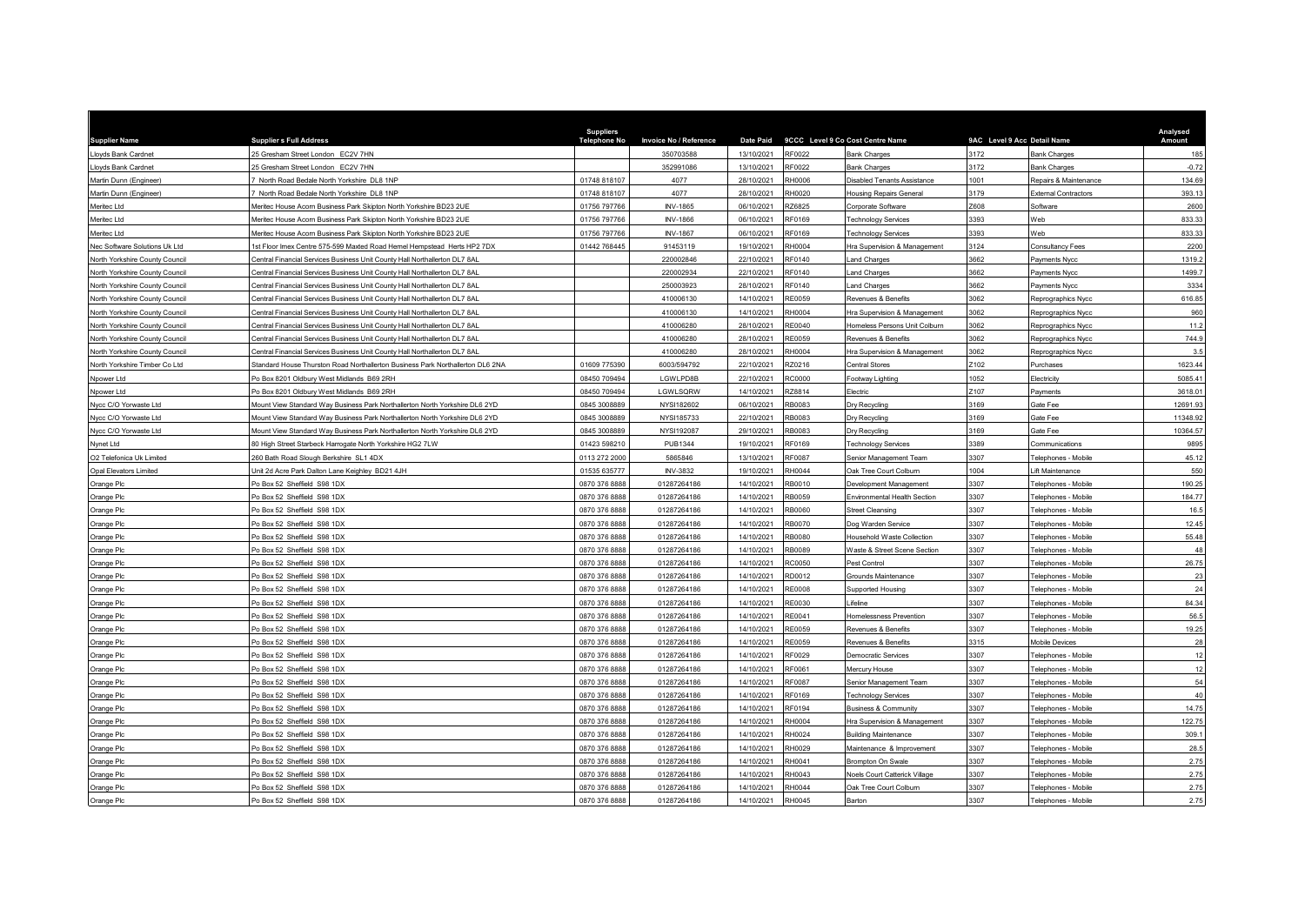| <b>Supplier Name</b>           | <b>Suppliers Full Address</b>                                                  | <b>Suppliers</b><br><b>Telephone No</b> | <b>Invoice No / Reference</b> | <b>Date Paid</b> |               | 9CCC Level 9 Co Cost Centre Name     | 9AC Level 9 Acc Detail Name |                             | Analysed<br>Amount |
|--------------------------------|--------------------------------------------------------------------------------|-----------------------------------------|-------------------------------|------------------|---------------|--------------------------------------|-----------------------------|-----------------------------|--------------------|
| Lloyds Bank Cardnet            | 25 Gresham Street London EC2V 7HN                                              |                                         | 350703588                     | 13/10/2021       | RF0022        | Bank Charges                         | 3172                        | <b>Bank Charges</b>         | 185                |
| Lloyds Bank Cardnet            | 25 Gresham Street London EC2V 7HN                                              |                                         | 352991086                     | 13/10/2021       | RF0022        | Bank Charges                         | 3172                        | <b>Bank Charges</b>         | $-0.72$            |
| Martin Dunn (Engineer)         | North Road Bedale North Yorkshire DL8 1NP                                      | 01748 818107                            | 4077                          | 28/10/2021       | RH0006        | Disabled Tenants Assistance          | 1001                        | Repairs & Maintenance       | 134.69             |
| Martin Dunn (Engineer)         | North Road Bedale North Yorkshire DL8 1NP                                      | 01748 818107                            | 4077                          | 28/10/2021       | RH0020        | Housing Repairs General              | 3179                        | <b>External Contractors</b> | 393.13             |
| Meritec Ltd                    | Meritec House Acorn Business Park Skipton North Yorkshire BD23 2UE             | 01756 797766                            | <b>INV-1865</b>               | 06/10/2021       | RZ6825        | Corporate Software                   | Z608                        | Software                    | 2600               |
| Meritec Ltd                    | Meritec House Acorn Business Park Skipton North Yorkshire BD23 2UE             | 01756 797766                            | <b>INV-1866</b>               | 06/10/2021       | RF0169        | <b>Technology Services</b>           | 3393                        | Web                         | 833.33             |
| Meritec Ltd                    | Meritec House Acorn Business Park Skipton North Yorkshire BD23 2UE             | 01756 797766                            | <b>INV-1867</b>               | 06/10/2021       | RF0169        | <b>Technology Services</b>           | 3393                        | Web                         | 833.33             |
| Nec Software Solutions Uk Ltd  | 1st Floor Imex Centre 575-599 Maxted Road Hemel Hempstead Herts HP2 7DX        | 01442 768445                            | 91453119                      | 19/10/2021       | RH0004        | Hra Supervision & Management         | 3124                        | Consultancy Fees            | 2200               |
| North Yorkshire County Council | Central Financial Services Business Unit County Hall Northallerton DL7 8AL     |                                         | 220002846                     | 22/10/2021       | RF0140        | and Charges                          | 3662                        | Payments Nycc               | 1319.2             |
| North Yorkshire County Council | Central Financial Services Business Unit County Hall Northallerton DL7 8AL     |                                         | 220002934                     | 22/10/2021       | RF0140        | Land Charges                         | 3662                        | Payments Nycc               | 1499.7             |
| North Yorkshire County Council | Central Financial Services Business Unit County Hall Northallerton DL7 8AL     |                                         | 250003923                     | 28/10/2021       | RF0140        | and Charges                          | 3662                        | Payments Nycc               | 3334               |
| North Yorkshire County Council | Central Financial Services Business Unit County Hall Northallerton DL7 8AL     |                                         | 410006130                     | 14/10/2021       | RE0059        | Revenues & Benefits                  | 3062                        | Reprographics Nycc          | 616.85             |
| North Yorkshire County Council | Central Financial Services Business Unit County Hall Northallerton DL7 8AL     |                                         | 410006130                     | 14/10/2021       | RH0004        | Hra Supervision & Management         | 3062                        | Reprographics Nycc          | 960                |
| North Yorkshire County Council | Central Financial Services Business Unit County Hall Northallerton DL7 8AL     |                                         | 410006280                     | 28/10/2021       | RE0040        | Iomeless Persons Unit Colburn        | 3062                        | Reprographics Nycc          | 11.2               |
| North Yorkshire County Council | Central Financial Services Business Unit County Hall Northallerton DL7 8AL     |                                         | 410006280                     | 28/10/2021       | RE0059        | Revenues & Benefits                  | 3062                        | Reprographics Nycc          | 744.9              |
| North Yorkshire County Council | Central Financial Services Business Unit County Hall Northallerton DL7 8AL     |                                         | 410006280                     | 28/10/2021       | RH0004        | Hra Supervision & Management         | 3062                        | Reprographics Nycc          | 3.5                |
| North Yorkshire Timber Co Ltd  | Standard House Thurston Road Northallerton Business Park Northallerton DL6 2NA | 01609 775390                            | 6003/594792                   | 22/10/2021       | RZ0216        | <b>Central Stores</b>                | 7102                        | Purchases                   | 1623.44            |
| Npower Ltd                     | Po Box 8201 Oldbury West Midlands B69 2RH                                      | 08450 709494                            | LGWLPD8B                      | 22/10/2021       | RC0000        | Footway Lighting                     | 1052                        | Electricity                 | 5085.41            |
| Npower Ltd                     | Po Box 8201 Oldbury West Midlands B69 2RH                                      | 08450 709494                            | LGWLSQRW                      | 14/10/2021       | RZ8814        | Flectric                             | Z107                        | Payments                    | 3618.01            |
| Nycc C/O Yorwaste Ltd          | Mount View Standard Way Business Park Northallerton North Yorkshire DL6 2YD    | 0845 3008889                            | NYSI182602                    | 06/10/2021       | RB0083        | Dry Recycling                        | 3169                        | Gate Fee                    | 12691.93           |
| Nycc C/O Yorwaste Ltd          | Mount View Standard Way Business Park Northallerton North Yorkshire DL6 2YD    | 0845 3008889                            | NYSI185733                    | 22/10/2021       | RB0083        | Dry Recycling                        | 3169                        | Gate Fee                    | 11348.92           |
| Nycc C/O Yorwaste Ltd          | fount View Standard Way Business Park Northallerton North Yorkshire DL6 2YD    | 0845 300888                             | NYSI192087                    | 29/10/2021       | RB0083        | Dry Recycling                        | 3169                        | Gate Fee                    | 10364.57           |
| Nynet Ltd                      | 80 High Street Starbeck Harrogate North Yorkshire HG2 7LW                      | 01423 598210                            | <b>PUB1344</b>                | 19/10/2021       | RF0169        | <b>Technology Services</b>           | 3389                        | Communications              | 9895               |
| O2 Telefonica Uk Limited       | 260 Bath Road Slough Berkshire SL1 4DX                                         | 0113 272 2000                           | 5865846                       | 13/10/2021       | <b>RF0087</b> | Senior Management Team               | 3307                        | Telephones - Mobile         | 45.12              |
| <b>Opal Elevators Limited</b>  | Unit 2d Acre Park Dalton Lane Keighley BD21 4JH                                | 01535 635777                            | <b>INV-3832</b>               | 19/10/2021       | <b>RH0044</b> | Oak Tree Court Colburn               | 1004                        | ift Maintenance             | 550                |
| Orange Plc                     | Po Box 52 Sheffield S98 1DX                                                    | 0870 376 8888                           | 01287264186                   | 14/10/2021       | RB0010        | Development Management               | 3307                        | Felephones - Mobile         | 190.25             |
| Orange Plc                     | Po Box 52 Sheffield S98 1DX                                                    | 0870 376 8888                           | 01287264186                   | 14/10/2021       | RB0059        | Environmental Health Section         | 3307                        | Telephones - Mobile         | 184.77             |
| Orange Plc                     | Po Box 52 Sheffield S98 1DX                                                    | 0870 376 8888                           | 01287264186                   | 14/10/2021       | RB0060        | <b>Street Cleansing</b>              | 3307                        | Telephones - Mobil          | 16.5               |
| Orange Plc                     | Po Box 52 Sheffield S98 1DX                                                    | 0870 376 8888                           | 01287264186                   | 14/10/2021       | RB0070        | Dog Warden Service                   | 3307                        | Felephones - Mobile         | 12.45              |
| Orange Plc                     | Po Box 52 Sheffield S98 1DX                                                    | 0870 376 8888                           | 01287264186                   | 14/10/2021       | RB0080        | Household Waste Collection           | 3307                        | Telephones - Mobile         | 55.48              |
| Orange Plc                     | Po Box 52 Sheffield S98 1DX                                                    | 0870 376 8888                           | 01287264186                   | 14/10/2021       | RB0089        | Waste & Street Scene Section         | 3307                        | Telephones - Mobile         | 48                 |
| Orange Plc                     | Po Box 52 Sheffield S98 1DX                                                    | 0870 376 8888                           | 01287264186                   | 14/10/2021       | RC0050        | Pest Control                         | 3307                        | Felephones - Mobile         | 26.75              |
| Orange Plc                     | Po Box 52 Sheffield S98 1DX                                                    | 0870 376 8888                           | 01287264186                   | 14/10/2021       | RD0012        | Grounds Maintenance                  | 3307                        | Telephones - Mobile         | 23                 |
|                                | Po Box 52 Sheffield S98 1DX                                                    | 0870 376 8888                           | 01287264186                   | 14/10/2021       | <b>RE0008</b> | Supported Housing                    | 307                         | Felephones - Mobile         | 24                 |
| Orange Plc                     | Po Box 52 Sheffield S98 1DX                                                    | 0870 376 8888                           | 01287264186                   | 14/10/2021       | <b>RE0030</b> | ifeline                              | 3307                        | Telephones - Mobile         | 84.34              |
| Orange Plc                     | Po Box 52 Sheffield S98 1DX                                                    | 0870 376 8888                           | 01287264186                   | 14/10/2021       | RE0041        | Homelessness Prevention              | 3307                        | Felephones - Mobil          | 56.5               |
| Orange Plc                     | Po Box 52 Sheffield S98 1DX                                                    | 0870 376 8888                           | 01287264186                   | 14/10/2021       | RE0059        | Revenues & Benefits                  | 3307                        | Telephones - Mobile         | 19.25              |
| Orange Plc                     | Po Box 52 Sheffield S98 1DX                                                    | 0870 376 8888                           | 01287264186                   | 14/10/2021       | RE0059        | Revenues & Benefits                  | 3315                        | Mobile Devices              | 28                 |
| Orange Plc                     |                                                                                |                                         | 01287264186                   | 14/10/2021       | RF0029        |                                      | 3307                        |                             | 12                 |
| Orange Plc                     | Po Box 52 Sheffield S98 1DX                                                    | 0870 376 8888                           |                               |                  |               | Democratic Services                  |                             | Telephones - Mobile         |                    |
| Orange Plc                     | Po Box 52 Sheffield S98 1DX                                                    | 0870 376 8888                           | 01287264186                   | 14/10/2021       | RF0061        | Mercury House                        | 307                         | Telephones - Mobile         | 12                 |
| Orange Plc                     | o Box 52 Sheffield S98 1DX                                                     | 0870 376 8888                           | 01287264186                   | 14/10/2021       | RF0087        | Senior Management Team               | 3307                        | Felephones - Mobile         | 54                 |
| Orange Plc                     | Po Box 52 Sheffield S98 1DX                                                    | 0870 376 8888                           | 01287264186                   | 14/10/2021       | RF0169        | <b>Technology Services</b>           | 3307                        | Telephones - Mobile         | 40                 |
| Orange Plc                     | Po Box 52 Sheffield S98 1DX                                                    | 0870 376 8888                           | 01287264186                   | 14/10/2021       | RF0194        | <b>Business &amp; Community</b>      | 3307                        | Telephones - Mobile         | 14.75              |
| Orange Plc                     | Po Box 52 Sheffield S98 1DX                                                    | 0870 376 8888                           | 01287264186                   | 14/10/2021       | RH0004        | Hra Supervision & Management         | 3307                        | Telephones - Mobile         | 122.75             |
| Orange Plc                     | Po Box 52 Sheffield S98 1DX                                                    | 0870 376 8888                           | 01287264186                   | 14/10/2021       | RH0024        | <b>Building Maintenance</b>          | 3307                        | Felephones - Mobile         | 309.1              |
| Orange Plc                     | Po Box 52 Sheffield S98 1DX                                                    | 0870 376 8888                           | 01287264186                   | 14/10/2021       | RH0029        | Maintenance & Improvement            | 3307                        | Telephones - Mobile         | 28.5               |
| Orange Plc                     | O Box 52 Sheffield S98 1DX                                                     | 0870 376 8888                           | 01287264186                   | 14/10/2021       | RH0041        | Brompton On Swale                    | 3307                        | Telephones - Mobile         | 2.75               |
| Orange Plc                     | O Box 52 Sheffield S98 1DX                                                     | 0870 376 888                            | 01287264186                   | 14/10/2021       | RH0043        | <b>Noels Court Catterick Village</b> | 3307                        | Felephones - Mobile         | 2.75               |
| Orange Plc                     | Po Box 52 Sheffield S98 1DX                                                    | 0870 376 8888                           | 01287264186                   | 14/10/2021       | <b>RH0044</b> | Oak Tree Court Colburn               | 3307                        | Telephones - Mobile         | 2.75               |
| Orange Plc                     | Po Box 52 Sheffield S98 1DX                                                    | 0870 376 8888                           | 01287264186                   | 14/10/2021       | RH0045        | Barton                               | 3307                        | Telephones - Mobile         | 2.75               |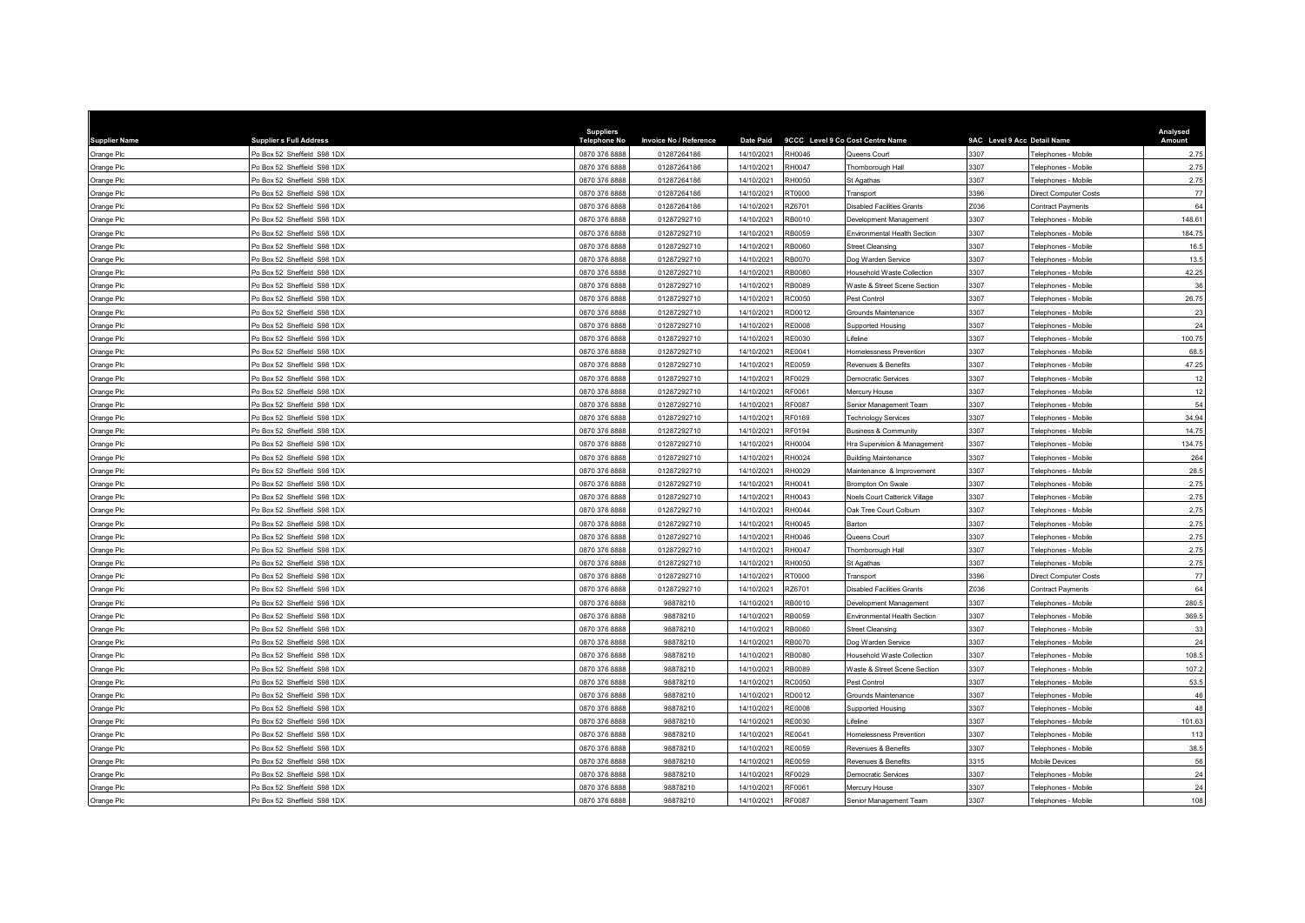| <b>Supplier Name</b> | <b>Suppliers Full Address</b> | <b>Suppliers</b><br><b>Telephone No</b> | Invoice No / Reference | <b>Date Paid</b> |               | 9CCC Level 9 Co Cost Centre Name        | 9AC Level 9 Acc Detail Name |                            | Analysed<br>Amount |
|----------------------|-------------------------------|-----------------------------------------|------------------------|------------------|---------------|-----------------------------------------|-----------------------------|----------------------------|--------------------|
| Orange Plc           | Po Box 52 Sheffield S98 1DX   | 0870 376 8888                           | 01287264186            | 14/10/2021       | RH0046        | Queens Court                            | 3307                        | Felephones - Mobile        | 2.75               |
| Orange Plc           | Po Box 52 Sheffield S98 1DX   | 0870 376 8888                           | 01287264186            | 14/10/2021       | RH0047        | Thornborough Hall                       | 3307                        | Telephones - Mobile        | 2.75               |
| Orange Plc           | Po Box 52 Sheffield S98 1DX   | 0870 376 8888                           | 01287264186            | 14/10/2021       | RH0050        | St Agathas                              | 3307                        | Telephones - Mobile        | 2.75               |
| Orange Plc           | Po Box 52 Sheffield S98 1DX   | 0870 376 8888                           | 01287264186            | 14/10/2021       | RT0000        | Transport                               | 3396                        | Direct Computer Costs      | 77                 |
| Orange Plc           | Po Box 52 Sheffield S98 1DX   | 0870 376 8888                           | 01287264186            | 14/10/2021       | RZ6701        | Disabled Facilities Grants              | Z036                        | Contract Payments          | 64                 |
| Orange Plc           | Po Box 52 Sheffield S98 1DX   | 0870 376 8888                           | 01287292710            | 14/10/2021       | RB0010        | Development Management                  | 3307                        | Telephones - Mobile        | 148.61             |
| Orange Plc           | Po Box 52 Sheffield S98 1DX   | 0870 376 8888                           | 01287292710            | 14/10/2021       | RB0059        | Environmental Health Section            | 3307                        | Felephones - Mobile        | 184.75             |
| Orange Plc           | Po Box 52 Sheffield S98 1DX   | 0870 376 8888                           | 01287292710            | 14/10/2021       | RB0060        | <b>Street Cleansing</b>                 | 3307                        | Felephones - Mobile        | 16.5               |
| Orange Plc           | Po Box 52 Sheffield S98 1DX   | 0870 376 8888                           | 01287292710            | 14/10/2021       | RB0070        | Dog Warden Service                      | 3307                        | Telephones - Mobile        | 13.5               |
| Orange Plc           | Po Box 52 Sheffield S98 1DX   | 0870 376 8888                           | 01287292710            | 14/10/2021       | <b>RB0080</b> | Household Waste Collection              | 3307                        | Felephones - Mobile        | 42.25              |
| Orange Plc           | Po Box 52 Sheffield S98 1DX   | 0870 376 8888                           | 01287292710            | 14/10/2021       | RB0089        | <b>Naste &amp; Street Scene Section</b> | 3307                        | Felephones - Mobile        | 36                 |
| Orange Plc           | Po Box 52 Sheffield S98 1DX   | 0870 376 8888                           | 01287292710            | 14/10/2021       | RC0050        | Pest Control                            | 3307                        | Telephones - Mobile        | 26.75              |
| Orange Plc           | Po Box 52 Sheffield S98 1DX   | 0870 376 8888                           | 01287292710            | 14/10/2021       | RD0012        | <b>Grounds Maintenance</b>              | 3307                        | Telephones - Mobile        | 23                 |
| Orange Plc           | Po Box 52 Sheffield S98 1DX   | 0870 376 8888                           | 01287292710            | 14/10/2021       | <b>RE0008</b> | Supported Housing                       | 3307                        | Felephones - Mobile        | 24                 |
| Orange Plc           | Po Box 52 Sheffield S98 1DX   | 0870 376 8888                           | 01287292710            | 14/10/2021       | RE0030        | <i>ifeline</i>                          | 307                         | Telephones - Mobile        | 100.75             |
| Orange Plc           | Po Box 52 Sheffield S98 1DX   | 0870 376 8888                           | 01287292710            | 14/10/2021       | RE0041        | Iomelessness Prevention                 | 3307                        | Felephones - Mobile        | 68.5               |
| Orange Plc           | Po Box 52 Sheffield S98 1DX   | 0870 376 8888                           | 01287292710            | 14/10/2021       | RE0059        | Revenues & Benefits                     | 3307                        | Felephones - Mobil         | 47.25              |
| Orange Plc           | Po Box 52 Sheffield S98 1DX   | 0870 376 8888                           | 01287292710            | 14/10/2021       | RF0029        | Democratic Services                     | 3307                        | Telephones - Mobile        | 12                 |
| Orange Plc           | Po Box 52 Sheffield S98 1DX   | 0870 376 8888                           | 01287292710            | 14/10/2021       | RF0061        | Mercury House                           | 3307                        | Telephones - Mobile        | 12                 |
| Orange Plc           | Po Box 52 Sheffield S98 1DX   | 0870 376 8888                           | 01287292710            | 14/10/2021       | RF0087        | Senior Management Team                  | 3307                        | Telephones - Mobile        | 54                 |
| Orange Plc           | Po Box 52 Sheffield S98 1DX   | 0870 376 8888                           | 01287292710            | 14/10/2021       | RF0169        | <b>Fechnology Services</b>              | 3307                        | Telephones - Mobile        | 34.94              |
| Orange Plc           | Po Box 52 Sheffield S98 1DX   | 0870 376 8888                           | 01287292710            | 14/10/2021       | RF0194        | Business & Community                    | 3307                        | Telephones - Mobile        | 14.75              |
| Orange Plc           | Po Box 52 Sheffield S98 1DX   | 0870 376 8888                           | 01287292710            | 14/10/2021       | RH0004        | Hra Supervision & Management            | 3307                        | Felephones - Mobile        | 134.75             |
| Orange Plc           | Po Box 52 Sheffield S98 1DX   | 0870 376 8888                           | 01287292710            | 14/10/2021       | RH0024        | <b>Building Maintenance</b>             | 3307                        | Telephones - Mobile        | 264                |
| Orange Plc           | Po Box 52 Sheffield S98 1DX   | 0870 376 8888                           | 01287292710            | 14/10/2021       | RH0029        | Maintenance & Improvement               | 3307                        | Telephones - Mobile        | 28.5               |
| Orange Plc           | Po Box 52 Sheffield S98 1DX   | 0870 376 8888                           | 01287292710            | 14/10/2021       | RH0041        | <b>Brompton On Swale</b>                | 3307                        | Felephones - Mobile        | 2.75               |
| Orange Plc           | Po Box 52 Sheffield S98 1DX   | 0870 376 8888                           | 01287292710            | 14/10/2021       | RH0043        | <b>Noels Court Catterick Village</b>    | 3307                        | Felephones - Mobile        | 2.75               |
| Orange Plc           | Po Box 52 Sheffield S98 1DX   | 0870 376 8888                           | 01287292710            | 14/10/2021       | RH0044        | Oak Tree Court Colburn                  | 3307                        | Telephones - Mobile        | 2.75               |
| Orange Plc           | Po Box 52 Sheffield S98 1DX   | 0870 376 8888                           | 01287292710            | 14/10/2021       | RH0045        | Barton                                  | 3307                        | Felephones - Mobile        | 2.75               |
| Orange Plc           | Po Box 52 Sheffield S98 1DX   | 0870 376 8888                           | 01287292710            | 14/10/2021       | RH0046        | Queens Court                            | 3307                        | Felephones - Mobile        | 2.75               |
| Orange Plc           | Po Box 52 Sheffield S98 1DX   | 0870 376 8888                           | 01287292710            | 14/10/2021       | RH0047        | Thornborough Hall                       | 3307                        | Telephones - Mobile        | 2.75               |
| Orange Plc           | Po Box 52 Sheffield S98 1DX   | 0870 376 8888                           | 01287292710            | 14/10/2021       | RH0050        | St Agathas                              | 3307                        | Telephones - Mobile        | 2.75               |
| Orange Plc           | Po Box 52 Sheffield S98 1DX   | 0870 376 8888                           | 01287292710            | 14/10/2021       | RT0000        | Transport                               | 3396                        | Direct Computer Costs      | 77                 |
| Orange Plc           | Po Box 52 Sheffield S98 1DX   | 0870 376 8888                           | 01287292710            | 14/10/2021       | RZ6701        | <b>Disabled Facilities Grants</b>       | 2036                        | Contract Payments          | 64                 |
| Orange Plc           | Po Box 52 Sheffield S98 1DX   | 0870 376 8888                           | 98878210               | 14/10/2021       | RB0010        | evelopment Management                   | 3307                        | Felephones - Mobile        | 280.5              |
| Orange Plc           | Po Box 52 Sheffield S98 1DX   | 0870 376 8888                           | 98878210               | 14/10/2021       | RB0059        | Environmental Health Section            | 3307                        | Felephones - Mobile        | 369.5              |
| Orange Plc           | Po Box 52 Sheffield S98 1DX   | 0870 376 8888                           | 98878210               | 14/10/2021       | RB0060        | <b>Street Cleansing</b>                 | 3307                        | <b>Felephones - Mobile</b> | 33                 |
| Orange Plc           | Po Box 52 Sheffield S98 1DX   | 0870 376 8888                           | 98878210               | 14/10/2021       | RB0070        | Dog Warden Service                      | 3307                        | Felephones - Mobile        | 24                 |
| Orange Plc           | Po Box 52 Sheffield S98 1DX   | 0870 376 8888                           | 98878210               | 14/10/2021       | RB0080        | Household Waste Collection              | 3307                        | Telephones - Mobile        | 108.5              |
| Orange Plc           | Po Box 52 Sheffield S98 1DX   | 0870 376 8888                           | 98878210               | 14/10/2021       | RB0089        | Vaste & Street Scene Section            | 3307                        | Telephones - Mobile        | 107.2              |
| Orange Plc           | Po Box 52 Sheffield S98 1DX   | 0870 376 8888                           | 98878210               | 14/10/2021       | RC0050        | Pest Control                            | 3307                        | Felephones - Mobile        | 53.5               |
| Orange Plc           | Po Box 52 Sheffield S98 1DX   | 0870 376 8888                           | 98878210               | 14/10/2021       | RD0012        | Grounds Maintenance                     | 3307                        | Telephones - Mobile        | 46                 |
| Orange Plc           | Po Box 52 Sheffield S98 1DX   | 0870 376 8888                           | 98878210               | 14/10/2021       | <b>RE0008</b> | Supported Housing                       | 3307                        | Telephones - Mobile        | 48                 |
| Orange Plc           | Po Box 52 Sheffield S98 1DX   | 0870 376 8888                           | 98878210               | 14/10/2021       | RE0030        | <i>ifeline</i>                          | 3307                        | Telephones - Mobile        | 101.63             |
| Orange Plc           | Po Box 52 Sheffield S98 1DX   | 0870 376 8888                           | 98878210               | 14/10/2021       | RE0041        | Homelessness Prevention                 | 3307                        | Felephones - Mobile        | 113                |
| Orange Plc           | Po Box 52 Sheffield S98 1DX   | 0870 376 8888                           | 98878210               | 14/10/2021       | RE0059        | Revenues & Benefits                     | 3307                        | Telephones - Mobile        | 38.5               |
| Orange Plc           | Po Box 52 Sheffield S98 1DX   | 0870 376 8888                           | 98878210               | 14/10/2021       | RE0059        | Revenues & Benefits                     | 3315                        | Mobile Devices             | 56                 |
| Orange Plc           | Po Box 52 Sheffield S98 1DX   | 0870 376 888                            | 98878210               | 14/10/2021       | RF0029        | <b>Jemocratic Services</b>              | 3307                        | elephones - Mobile         | 24                 |
| Orange Plc           | Po Box 52 Sheffield S98 1DX   | 0870 376 8888                           | 98878210               | 14/10/2021       | RF0061        | Mercury House                           | 3307                        | Telephones - Mobile        | 24                 |
| Orange Plc           | Po Box 52 Sheffield S98 1DX   | 0870 376 8888                           | 98878210               | 14/10/2021       | RF0087        | Senior Management Team                  | 3307                        | Telephones - Mobile        | 108                |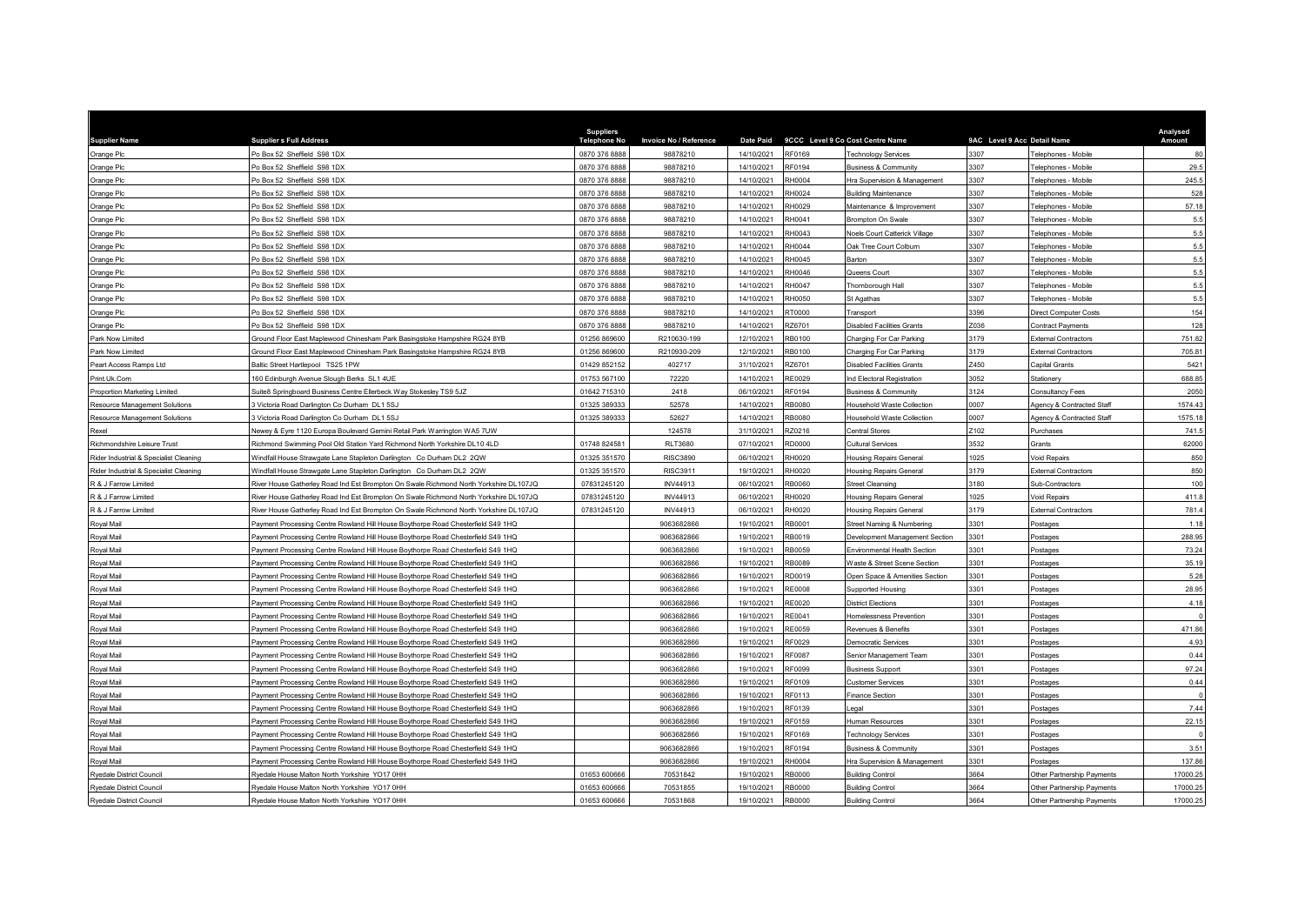| <b>Supplier Name</b>                   | <b>Suppliers Full Address</b>                                                         | <b>Suppliers</b><br><b>Telephone No</b> | Invoice No / Reference |            | Date Paid 9CCC Level 9 Co Cost Centre Name |                                      | 9AC Level 9 Acc Detail Name |                              | Analysed<br><b>Amount</b> |
|----------------------------------------|---------------------------------------------------------------------------------------|-----------------------------------------|------------------------|------------|--------------------------------------------|--------------------------------------|-----------------------------|------------------------------|---------------------------|
| Orange Plc                             | Po Box 52 Sheffield S98 1DX                                                           | 0870 376 8888                           | 98878210               | 14/10/2021 | RF0169                                     | Technology Services                  | 3307                        | Telephones - Mobile          | 80                        |
| Orange Plc                             | Po Box 52 Sheffield S98 1DX                                                           | 0870 376 8888                           | 98878210               | 14/10/2021 | RF0194                                     | <b>Business &amp; Community</b>      | 3307                        | Telephones - Mobile          | 29.5                      |
| Orange Plc                             | Po Box 52 Sheffield S98 1DX                                                           | 0870 376 8888                           | 98878210               | 14/10/2021 | RH0004                                     | Hra Supervision & Management         | 3307                        | Telephones - Mobile          | 245.5                     |
| Orange Plc                             | Po Box 52 Sheffield S98 1DX                                                           | 0870 376 8888                           | 98878210               | 14/10/2021 | RH0024                                     | <b>Building Maintenance</b>          | 3307                        | <b>Felephones - Mobile</b>   | 528                       |
| Orange Plc                             | Po Box 52 Sheffield S98 1DX                                                           | 0870 376 8888                           | 98878210               | 14/10/2021 | RH0029                                     | Maintenance & Improvement            | 3307                        | Telephones - Mobile          | 57.18                     |
| Orange Plc                             | Po Box 52 Sheffield S98 1DX                                                           | 0870 376 8888                           | 98878210               | 14/10/2021 | RH0041                                     | <b>Brompton On Swale</b>             | 3307                        | Telephones - Mobile          | 5.5                       |
| Orange Plc                             | Po Box 52 Sheffield S98 1DX                                                           | 0870 376 8888                           | 98878210               | 14/10/2021 | RH0043                                     | <b>Noels Court Catterick Village</b> | 3307                        | Telephones - Mobile          | 5.5                       |
| Orange Plc                             | Po Box 52 Sheffield S98 1DX                                                           | 0870 376 8888                           | 98878210               | 14/10/2021 | <b>RH0044</b>                              | Oak Tree Court Colburn               | 3307                        | Felephones - Mobile          | 5.5                       |
| Orange Plc                             | Po Box 52 Sheffield S98 1DX                                                           | 0870 376 8888                           | 98878210               | 14/10/2021 | RH0045                                     | Barton                               | 3307                        | Telephones - Mobile          | 5.5                       |
| Orange Plc                             | O Box 52 Sheffield S98 1DX                                                            | 0870 376 888                            | 98878210               | 14/10/2021 | RH0046                                     | Queens Court                         | 3307                        | Telephones - Mobil           | 5.5                       |
| Orange Plc                             | Po Box 52 Sheffield S98 1DX                                                           | 0870 376 8888                           | 98878210               | 14/10/2021 | <b>RH0047</b>                              | Thornborough Hall                    | 3307                        | Telephones - Mobile          | 5.5                       |
| Orange Plc                             | Po Box 52 Sheffield S98 1DX                                                           | 0870 376 888                            | 98878210               | 14/10/2021 | RH0050                                     | St Agathas                           | 3307                        | Felephones - Mobile          | 5.5                       |
| Orange Plc                             | Po Box 52 Sheffield S98 1DX                                                           | 0870 376 8888                           | 98878210               | 14/10/2021 | RT0000                                     | Transport                            | 3396                        | <b>Direct Computer Costs</b> | 154                       |
| Orange Plc                             | Po Box 52 Sheffield S98 1DX                                                           | 0870 376 8888                           | 98878210               | 14/10/2021 | RZ6701                                     | <b>Disabled Facilities Grants</b>    | Z036                        | Contract Payments            | 128                       |
| Park Now Limited                       | Ground Floor East Maplewood Chinesham Park Basingstoke Hampshire RG24 8YB             | 01256 869600                            | R210630-199            | 12/10/2021 | RB0100                                     | Charging For Car Parking             | 3179                        | <b>External Contractors</b>  | 751.82                    |
| Park Now Limited                       | Ground Floor East Maplewood Chinesham Park Basingstoke Hampshire RG24 8YB             | 01256 869600                            | R210930-209            | 12/10/2021 | RB0100                                     | Charging For Car Parking             | 3179                        | <b>External Contractors</b>  | 705.81                    |
| Peart Access Ramps Ltd                 | Baltic Street Hartlepool TS25 1PW                                                     | 01429 852152                            | 402717                 | 31/10/2021 | RZ6701                                     | Disabled Facilities Grants           | Z450                        | Capital Grants               | 5421                      |
| Print.Uk.Com                           | 160 Edinburgh Avenue Slough Berks SL1 4UE                                             | 01753 567100                            | 72220                  | 14/10/2021 | RE0029                                     | Ind Electoral Registration           | 3052                        | Stationery                   | 688.85                    |
| Proportion Marketing Limited           | Suite8 Springboard Business Centre Ellerbeck Way Stokesley TS9 5JZ                    | 01642 715310                            | 2418                   | 06/10/2021 | RF0194                                     | Business & Community                 | 3124                        | Consultancy Fees             | 2050                      |
| Resource Management Solutions          | 3 Victoria Road Darlington Co Durham DL1 5SJ                                          | 01325 389333                            | 52578                  | 14/10/2021 | RB0080                                     | Household Waste Collection           | 0007                        | Agency & Contracted Staff    | 1574.43                   |
| Resource Management Solutions          | 3 Victoria Road Darlington Co Durham DL1 5SJ                                          | 01325 389333                            | 52627                  | 14/10/2021 | RB0080                                     | Household Waste Collection           | 0007                        | Agency & Contracted Staff    | 1575.18                   |
| Rexel                                  | Vewey & Eyre 1120 Europa Boulevard Gemini Retail Park Warrington WA5 7UW              |                                         | 124578                 | 31/10/2021 | RZ0216                                     | Central Stores                       | Z <sub>102</sub>            | Purchases                    | 741.5                     |
| Richmondshire Leisure Trust            | Richmond Swimming Pool Old Station Yard Richmond North Yorkshire DL10 4LD             | 01748 824581                            | <b>RLT3680</b>         | 07/10/2021 | RD0000                                     | Cultural Services                    | 3532                        | Grants                       | 62000                     |
| Rider Industrial & Specialist Cleaning | Windfall House Strawgate Lane Stapleton Darlington Co Durham DL2 2QW                  | 01325 351570                            | <b>RISC3890</b>        | 06/10/2021 | RH0020                                     | Housing Repairs General              | 1025                        | Void Repairs                 | 850                       |
| Rider Industrial & Specialist Cleaning | Windfall House Strawgate Lane Stapleton Darlington Co Durham DL2 2QW                  | 01325 351570                            | RISC3911               | 19/10/2021 | RH0020                                     | Housing Repairs General              | 3179                        | <b>External Contractors</b>  | 850                       |
| R & J Farrow Limited                   | River House Gatherley Road Ind Est Brompton On Swale Richmond North Yorkshire DL107JQ | 07831245120                             | <b>INV44913</b>        | 06/10/2021 | RB0060                                     | Street Cleansing                     | 3180                        | Sub-Contractors              | 100                       |
| R & J Farrow Limited                   | River House Gatherley Road Ind Est Brompton On Swale Richmond North Yorkshire DL107JQ | 07831245120                             | <b>INV44913</b>        | 06/10/2021 | RH0020                                     | <b>Housing Repairs General</b>       | 1025                        | Void Repairs                 | 411.8                     |
| R & J Farrow Limited                   | River House Gatherley Road Ind Est Brompton On Swale Richmond North Yorkshire DL107JQ | 07831245120                             | <b>INV44913</b>        | 06/10/2021 | RH0020                                     | Housing Repairs General              | 3179                        | External Contractors         | 781.4                     |
| Roval Mail                             | Payment Processing Centre Rowland Hill House Boythorpe Road Chesterfield S49 1HQ      |                                         | 9063682866             | 19/10/2021 | <b>RB0001</b>                              | Street Naming & Numbering            | 3301                        | Postages                     | 1.18                      |
| Roval Mail                             | Payment Processing Centre Rowland Hill House Boythorpe Road Chesterfield S49 1HQ      |                                         | 9063682866             | 19/10/2021 | RB0019                                     | Development Management Section       | 3301                        | Postages                     | 288.95                    |
| Royal Mail                             | Payment Processing Centre Rowland Hill House Boythorpe Road Chesterfield S49 1HQ      |                                         | 9063682866             | 19/10/2021 | RB0059                                     | Environmental Health Section         | 3301                        | Postages                     | 73.24                     |
| Roval Mail                             | Payment Processing Centre Rowland Hill House Boythorpe Road Chesterfield S49 1HQ      |                                         | 9063682866             | 19/10/2021 | RB0089                                     | Waste & Street Scene Section         | 3301                        | Postages                     | 35.19                     |
| Royal Mail                             | Payment Processing Centre Rowland Hill House Boythorpe Road Chesterfield S49 1HQ      |                                         | 9063682866             | 19/10/2021 | RD0019                                     | Open Space & Amenities Section       | 3301                        | Postages                     | 5.28                      |
| Royal Mail                             | Payment Processing Centre Rowland Hill House Boythorpe Road Chesterfield S49 1HQ      |                                         | 9063682866             | 19/10/2021 | <b>RE0008</b>                              | <b>Supported Housing</b>             | 3301                        | Postages                     | 28.95                     |
| Royal Mail                             | Payment Processing Centre Rowland Hill House Boythorpe Road Chesterfield S49 1HQ      |                                         | 9063682866             | 19/10/2021 | RE0020                                     | District Elections                   | 301                         | Postages                     | 4.18                      |
| Royal Mail                             | Payment Processing Centre Rowland Hill House Boythorpe Road Chesterfield S49 1HQ      |                                         | 9063682866             | 19/10/2021 | RE0041                                     | Homelessness Prevention              | 3301                        | Postages                     |                           |
| Royal Mail                             | Payment Processing Centre Rowland Hill House Boythorpe Road Chesterfield S49 1HQ      |                                         | 9063682866             | 19/10/2021 | RE0059                                     | Revenues & Benefits                  | 3301                        | Postages                     | 471.86                    |
| Royal Mail                             | Payment Processing Centre Rowland Hill House Boythorpe Road Chesterfield S49 1HQ      |                                         | 9063682866             | 19/10/2021 | RF0029                                     | Democratic Services                  | 3301                        | Postages                     | 4.93                      |
| Royal Mail                             | Payment Processing Centre Rowland Hill House Boythorpe Road Chesterfield S49 1HQ      |                                         | 9063682866             | 19/10/2021 | RF0087                                     | Senior Management Team               | 3301                        | Postages                     | 0.44                      |
| Royal Mail                             | Payment Processing Centre Rowland Hill House Boythorpe Road Chesterfield S49 1HQ      |                                         | 9063682866             | 19/10/2021 | RF0099                                     | <b>Business Support</b>              | 3301                        | Postages                     | 97.24                     |
| Royal Mail                             | Payment Processing Centre Rowland Hill House Boythorpe Road Chesterfield S49 1HQ      |                                         | 9063682866             | 19/10/2021 | RF0109                                     | Customer Services                    | 3301                        | Postages                     | 0.44                      |
| Royal Mail                             | Payment Processing Centre Rowland Hill House Boythorpe Road Chesterfield S49 1HQ      |                                         | 9063682866             | 19/10/2021 | RF0113                                     | Finance Section                      | 3301                        | Postages                     |                           |
| Royal Mail                             | Payment Processing Centre Rowland Hill House Boythorpe Road Chesterfield S49 1HQ      |                                         | 9063682866             | 19/10/2021 | RF0139                                     | egal                                 | 3301                        | Postages                     | 7.44                      |
| Royal Mail                             | Payment Processing Centre Rowland Hill House Boythorpe Road Chesterfield S49 1HQ      |                                         | 9063682866             | 19/10/2021 | RF0159                                     | Human Resources                      | 3301                        | Postages                     | 22.15                     |
| Royal Mail                             | Payment Processing Centre Rowland Hill House Boythorpe Road Chesterfield S49 1HQ      |                                         | 9063682866             | 19/10/2021 | RF0169                                     | <b>Technology Services</b>           | 3301                        | Postages                     |                           |
| Royal Mail                             | Payment Processing Centre Rowland Hill House Boythorpe Road Chesterfield S49 1HQ      |                                         | 9063682866             | 19/10/2021 | RF0194                                     | Business & Community                 | 3301                        | Postages                     | 3.51                      |
| Royal Mail                             | Payment Processing Centre Rowland Hill House Boythorpe Road Chesterfield S49 1HQ      |                                         | 9063682866             | 19/10/2021 | RH0004                                     | Hra Supervision & Management         | 3301                        | Postages                     | 137.86                    |
| Ryedale District Council               | Ryedale House Malton North Yorkshire, YO17 0HH                                        | 01653 600666                            | 70531842               | 19/10/2021 | RB0000                                     | <b>Building Control</b>              | 664                         | Other Partnership Payments   | 17000.25                  |
| <b>Ryedale District Council</b>        | Vedale House Malton North Yorkshire YO17 0HH                                          | 01653 600666                            | 70531855               | 19/10/2021 | <b>RB0000</b>                              | <b>Building Control</b>              | 3664                        | Other Partnership Payments   | 17000.25                  |
| Ryedale District Council               | Ryedale House Malton North Yorkshire YO17 0HH                                         | 01653 600666                            | 70531868               | 19/10/2021 | RB0000                                     | <b>Building Control</b>              | 3664                        | Other Partnership Payments   | 17000.25                  |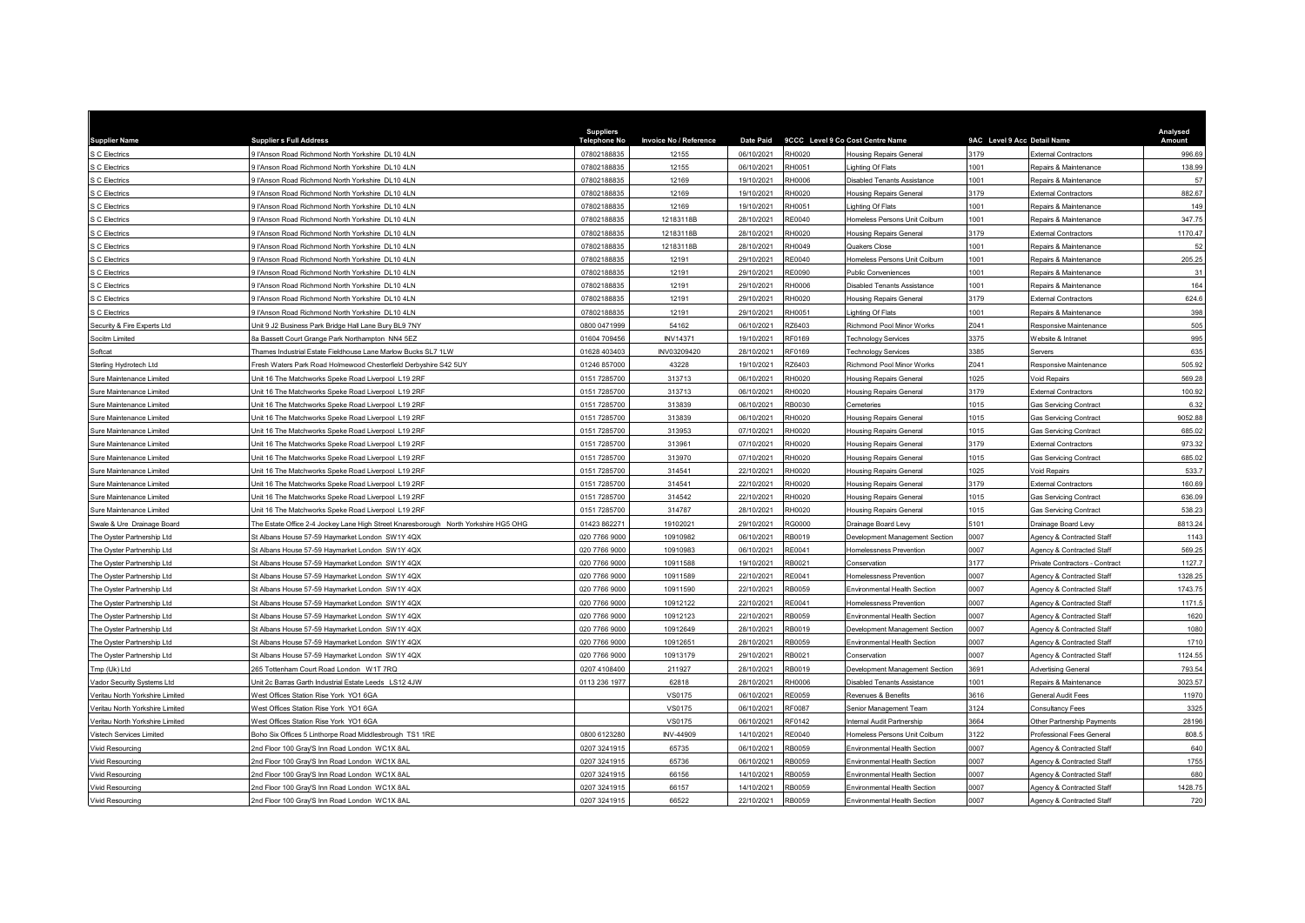| <b>Supplier Name</b>            | <b>Suppliers Full Address</b>                                                       | <b>Suppliers</b><br><b>Telephone No</b> | Invoice No / Reference |            | Date Paid 9CCC Level 9 Co Cost Centre Name |                                | 9AC Level 9 Acc Detail Name |                                | Analysed<br><b>Amount</b> |
|---------------------------------|-------------------------------------------------------------------------------------|-----------------------------------------|------------------------|------------|--------------------------------------------|--------------------------------|-----------------------------|--------------------------------|---------------------------|
| S C Electrics                   | 9 l'Anson Road Richmond North Yorkshire DL10 4LN                                    | 07802188835                             | 12155                  | 06/10/2021 | RH0020                                     | <b>Housing Repairs General</b> | 3179                        | External Contractors           | 996.69                    |
| S C Electrics                   | 9 l'Anson Road Richmond North Yorkshire DL10 4LN                                    | 07802188835                             | 12155                  | 06/10/2021 | RH0051                                     | ighting Of Flats               | 1001                        | Repairs & Maintenance          | 138.99                    |
| S C Electrics                   | 9 l'Anson Road Richmond North Yorkshire DL10 4LN                                    | 07802188835                             | 12169                  | 19/10/2021 | RH0006                                     | Disabled Tenants Assistance    | 1001                        | Repairs & Maintenance          | 57                        |
| C Electrics                     | 9 l'Anson Road Richmond North Yorkshire, DJ 10 4LN                                  | 07802188835                             | 12169                  | 19/10/2021 | RH0020                                     | Housing Repairs General        | 3179                        | External Contractors           | 882.67                    |
| S C Electrics                   | 9 l'Anson Road Richmond North Yorkshire DL10 4LN                                    | 07802188835                             | 12169                  | 19/10/2021 | RH0051                                     | Lighting Of Flats              | 1001                        | Repairs & Maintenance          | 149                       |
| S C Electrics                   | 9 l'Anson Road Richmond North Yorkshire DL10 4LN                                    | 07802188835                             | 12183118B              | 28/10/2021 | RE0040                                     | Homeless Persons Unit Colburn  | 1001                        | Repairs & Maintenance          | 347.75                    |
| C Electrics                     | 9 l'Anson Road Richmond North Yorkshire DL10 4LN                                    | 07802188835                             | 12183118B              | 28/10/2021 | RH0020                                     | <b>Housing Repairs General</b> | 3179                        | <b>External Contractors</b>    | 1170.47                   |
| C Electrics                     | 9 l'Anson Road Richmond North Yorkshire DL10 4LN                                    | 07802188835                             | 12183118B              | 28/10/2021 | RH0049                                     | Quakers Close                  | 1001                        | Repairs & Maintenance          | 52                        |
| S C Electrics                   | 9 l'Anson Road Richmond North Yorkshire, DJ 10 4LN                                  | 07802188835                             | 12191                  | 29/10/2021 | RE0040                                     | Iomeless Persons Unit Colburn  | 1001                        | Repairs & Maintenance          | 205.25                    |
| C Electrics                     | 9 l'Anson Road Richmond North Yorkshire DL10 4LN                                    | 07802188835                             | 12191                  | 29/10/2021 | <b>RE0090</b>                              | Public Conveniences            | 1001                        | Repairs & Maintenance          | 31                        |
| C Electrics                     | 9 l'Anson Road Richmond North Yorkshire DL10 4LN                                    | 07802188835                             | 12191                  | 29/10/2021 | RH0006                                     | Disabled Tenants Assistance    | 1001                        | Repairs & Maintenance          | 164                       |
| C Electrics                     | 9 l'Anson Road Richmond North Yorkshire DL10 4LN                                    | 07802188835                             | 12191                  | 29/10/2021 | RH0020                                     | <b>Housing Repairs General</b> | 3179                        | <b>External Contractors</b>    | 624.6                     |
| C Electrics                     | 9 l'Anson Road Richmond North Yorkshire DL10 4LN                                    | 07802188835                             | 12191                  | 29/10/2021 | RH0051                                     | ighting Of Flats               | 1001                        | Repairs & Maintenance          | 398                       |
| Security & Fire Experts Ltd     | Jnit 9 J2 Business Park Bridge Hall Lane Bury BL9 7NY                               | 0800 0471999                            | 54162                  | 06/10/2021 | RZ6403                                     | Richmond Pool Minor Works      | Z041                        | Responsive Maintenance         | 505                       |
| Socitm Limited                  | 3a Bassett Court Grange Park Northampton NN4 5EZ                                    | 01604 709456                            | INV14371               | 19/10/2021 | RF0169                                     | <b>Technology Services</b>     | 3375                        | Website & Intranet             | 995                       |
| Softcat                         | hames Industrial Estate Fieldhouse Lane Marlow Bucks SL7 1LW                        | 01628 403403                            | INV03209420            | 28/10/2021 | RF0169                                     | <b>Technology Services</b>     | 3385                        | Servers                        | 635                       |
| Sterling Hydrotech Ltd          | resh Waters Park Road Holmewood Chesterfield Derbyshire S42 5UY                     | 01246 85700                             | 43228                  | 19/10/2021 | RZ6403                                     | Richmond Pool Minor Works      | Z041                        | Responsive Maintenance         | 505.92                    |
| Sure Maintenance Limited        | Jnit 16 The Matchworks Speke Road Liverpool L19 2RF                                 | 0151 7285700                            | 313713                 | 06/10/2021 | RH0020                                     | Housing Repairs General        | 1025                        | Void Repairs                   | 569.28                    |
| Sure Maintenance Limited        | Jnit 16 The Matchworks Speke Road Liverpool L19 2RF                                 | 0151 7285700                            | 313713                 | 06/10/2021 | RH0020                                     | <b>Housing Repairs General</b> | 3179                        | External Contractors           | 100.92                    |
| Sure Maintenance Limited        | Jnit 16 The Matchworks Speke Road Liverpool L19 2RF                                 | 0151 7285700                            | 313839                 | 06/10/2021 | RB0030                                     | Cemeteries                     | 1015                        | <b>Gas Servicing Contract</b>  | 6.32                      |
| Sure Maintenance Limited        | Jnit 16 The Matchworks Speke Road Liverpool L19 2RF                                 | 0151 7285700                            | 313839                 | 06/10/2021 | RH0020                                     | <b>Housing Repairs General</b> | 1015                        | <b>Gas Servicing Contract</b>  | 9052.88                   |
| Sure Maintenance Limited        | Jnit 16 The Matchworks Speke Road Liverpool L19 2RF                                 | 0151 7285700                            | 313953                 | 07/10/2021 | RH0020                                     | <b>Housing Repairs General</b> | 1015                        | <b>Gas Servicing Contract</b>  | 685.02                    |
| Sure Maintenance Limited        | Init 16 The Matchworks Speke Road Liverpool L19 2RF                                 | 0151 7285700                            | 313961                 | 07/10/2021 | RH0020                                     | <b>Housing Repairs General</b> | 3179                        | <b>External Contractors</b>    | 973.32                    |
| Sure Maintenance Limited        | Unit 16 The Matchworks Speke Road Liverpool L19 2RF                                 | 0151 7285700                            | 313970                 | 07/10/2021 | RH0020                                     | <b>Housing Repairs General</b> | 1015                        | <b>Gas Servicing Contract</b>  | 685.02                    |
| Sure Maintenance Limited        | Unit 16 The Matchworks Speke Road Liverpool L19 2RF                                 | 0151 7285700                            | 314541                 | 22/10/2021 | RH0020                                     | <b>Housing Repairs General</b> | 1025                        | Void Repairs                   | 533.7                     |
| Sure Maintenance Limited        | Unit 16 The Matchworks Speke Road Liverpool L19 2RF                                 | 0151 7285700                            | 314541                 | 22/10/2021 | RH0020                                     | Housing Repairs General        | 3179                        | <b>External Contractors</b>    | 160.69                    |
| Sure Maintenance Limited        | Unit 16 The Matchworks Speke Road Liverpool L19 2RF                                 | 0151 7285700                            | 314542                 | 22/10/2021 | RH0020                                     | <b>Housing Repairs General</b> | 1015                        | <b>Gas Servicing Contract</b>  | 636.09                    |
| Sure Maintenance Limited        | Jnit 16 The Matchworks Speke Road Liverpool L19 2RF                                 | 0151 7285700                            | 314787                 | 28/10/2021 | RH0020                                     | Housing Repairs General        | 1015                        | <b>Gas Servicing Contract</b>  | 538.23                    |
| Swale & Ure Drainage Board      | The Estate Office 2-4 Jockey Lane High Street Knaresborough North Yorkshire HG5 OHG | 01423 862271                            | 19102021               | 29/10/2021 | <b>RG0000</b>                              | Drainage Board Levy            | 5101                        | Drainage Board Levy            | 8813.24                   |
| The Ovster Partnership I td     | St Albans House 57-59 Havmarket London SW1Y 4QX                                     | 020 7766 9000                           | 10910982               | 06/10/2021 | RB0019                                     | Development Management Section | 0007                        | Agency & Contracted Staf       | 1143                      |
| The Oyster Partnership Ltd      | St Albans House 57-59 Haymarket London SW1Y 4QX                                     | 020 7766 9000                           | 10910983               | 06/10/2021 | RE0041                                     | Homelessness Prevention        | 0007                        | Agency & Contracted Staff      | 569.25                    |
| The Ovster Partnership Ltd      | St Albans House 57-59 Havmarket London SW1Y 4QX                                     | 020 7766 9000                           | 10911588               | 19/10/2021 | RB0021                                     | Conservation                   | 3177                        | Private Contractors - Contract | 1127.7                    |
| The Oyster Partnership Ltd      | St Albans House 57-59 Haymarket London SW1Y 4QX                                     | 020 7766 9000                           | 10911589               | 22/10/2021 | RE0041                                     | Iomelessness Prevention        | 0007                        | Agency & Contracted Staff      | 1328.25                   |
| The Oyster Partnership Ltd      | St Albans House 57-59 Haymarket London SW1Y 4QX                                     | 020 7766 9000                           | 10911590               | 22/10/2021 | RB0059                                     | Environmental Health Section   | 0007                        | Agency & Contracted Staff      | 1743.75                   |
| The Oyster Partnership Ltd      | St Albans House 57-59 Haymarket London SW1Y 4QX                                     | 020 7766 9000                           | 10912122               | 22/10/2021 | RE0041                                     | Homelessness Prevention        | 0007                        | Agency & Contracted Staff      | 1171.5                    |
| The Oyster Partnership Ltd      | St Albans House 57-59 Haymarket London SW1Y 4QX                                     | 020 7766 9000                           | 10912123               | 22/10/2021 | RB0059                                     | Environmental Health Section   | 0007                        | Agency & Contracted Staff      | 1620                      |
| The Oyster Partnership Ltd      | St Albans House 57-59 Haymarket London SW1Y 4QX                                     | 020 7766 9000                           | 10912649               | 28/10/2021 | RB0019                                     | Development Management Section | 0007                        | Agency & Contracted Staff      | 1080                      |
| The Oyster Partnership Ltd      | St Albans House 57-59 Haymarket London SW1Y 4QX                                     | 020 7766 9000                           | 10912651               | 28/10/2021 | RB0059                                     | Environmental Health Section   | 0007                        | Agency & Contracted Staff      | 1710                      |
| The Oyster Partnership Ltd      | St Albans House 57-59 Haymarket London SW1Y 4QX                                     | 020 7766 9000                           | 10913179               | 29/10/2021 | RB0021                                     | Conservation                   | 0007                        | Agency & Contracted Staff      | 1124.55                   |
| Tmp (Uk) Ltd                    | 265 Tottenham Court Road London W1T 7RQ                                             | 0207 4108400                            | 211927                 | 28/10/2021 | RB0019                                     | Development Management Section | 3691                        | <b>Advertising General</b>     | 793.54                    |
| Vador Security Systems Ltd      | Unit 2c Barras Garth Industrial Estate Leeds LS12 4JW                               | 0113 236 1977                           | 62818                  | 28/10/2021 | RH0006                                     | Disabled Tenants Assistance    | 1001                        | Repairs & Maintenance          | 3023.57                   |
| Veritau North Yorkshire Limited | <b>Nest Offices Station Rise York YO1 6GA</b>                                       |                                         | VS0175                 | 06/10/2021 | <b>RE0059</b>                              | Revenues & Benefits            | 3616                        | General Audit Fees             | 11970                     |
| Veritau North Yorkshire Limited | West Offices Station Rise York YO1 6GA                                              |                                         | VS0175                 | 06/10/2021 | <b>RF0087</b>                              | Senior Management Team         | 3124                        | Consultancy Fees               | 3325                      |
| Veritau North Yorkshire Limited | West Offices Station Rise York YO1 6GA                                              |                                         | VS0175                 | 06/10/2021 | RF0142                                     | nternal Audit Partnership      | 3664                        | Other Partnership Payments     | 28196                     |
| Vistech Services Limited        | Boho Six Offices 5 Linthorpe Road Middlesbrough TS1 1RE                             | 0800 6123280                            | INV-44909              | 14/10/2021 | RE0040                                     | Iomeless Persons Unit Colburn  | 3122                        | Professional Fees General      | 808.5                     |
| Vivid Resourcing                | 2nd Floor 100 Gray'S Inn Road London WC1X 8AL                                       | 0207 3241915                            | 65735                  | 06/10/2021 | RB0059                                     | Environmental Health Section   | 0007                        | Agency & Contracted Staff      | 640                       |
| Vivid Resourcing                | 2nd Floor 100 Gray'S Inn Road London WC1X 8AL                                       | 0207 3241915                            | 65736                  | 06/10/2021 | RB0059                                     | Environmental Health Section   | 0007                        | Agency & Contracted Staff      | 1755                      |
| Vivid Resourcing                | 2nd Floor 100 Gray'S Inn Road London WC1X 8AL                                       | 0207 3241915                            | 66156                  | 14/10/2021 | RB0059                                     | Environmental Health Section   | 0007                        | Agency & Contracted Staff      | 680                       |
| Vivid Resourcing                | 2nd Floor 100 Gray'S Inn Road London WC1X 8AL                                       | 0207 3241915                            | 66157                  | 14/10/2021 | RB0059                                     | Environmental Health Section   | 0007                        | Agency & Contracted Staff      | 1428.75                   |
| <b>Vivid Resourcing</b>         | 2nd Floor 100 Gray'S Inn Road London WC1X 8AL                                       | 0207 3241915                            | 66522                  | 22/10/2021 | RB0059                                     | Environmental Health Section   | 0007                        | Agency & Contracted Staff      | 720                       |